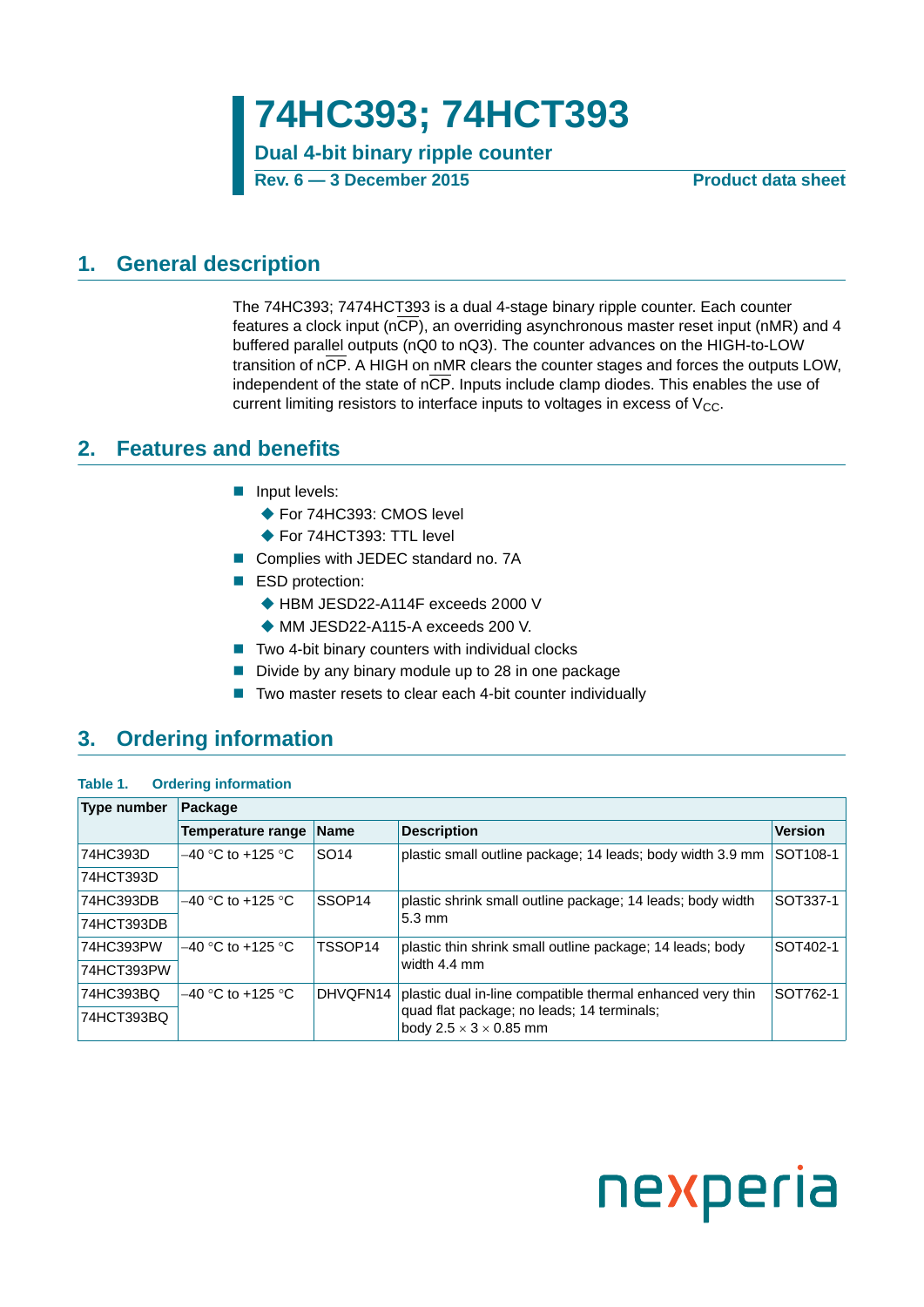**Dual 4-bit binary ripple counter**

**Rev. 6 — 3 December 2015 Product data sheet**

### <span id="page-0-0"></span>**1. General description**

The 74HC393; 7474HCT393 is a dual 4-stage binary ripple counter. Each counter features a clock input (nCP), an overriding asynchronous master reset input (nMR) and 4 buffered parallel outputs (nQ0 to nQ3). The counter advances on the HIGH-to-LOW transition of nCP. A HIGH on nMR clears the counter stages and forces the outputs LOW, independent of the state of  $n\overline{CP}$ . Inputs include clamp diodes. This enables the use of current limiting resistors to interface inputs to voltages in excess of  $V_{CC}$ .

### <span id="page-0-1"></span>**2. Features and benefits**

- **Input levels:** 
	- ◆ For 74HC393: CMOS level
	- ◆ For 74HCT393: TTL level
- Complies with JEDEC standard no. 7A
- ESD protection:
	- ◆ HBM JESD22-A114F exceeds 2000 V
	- ◆ MM JESD22-A115-A exceeds 200 V.
- $\blacksquare$  Two 4-bit binary counters with individual clocks
- $\blacksquare$  Divide by any binary module up to 28 in one package
- Two master resets to clear each 4-bit counter individually

### <span id="page-0-2"></span>**3. Ordering information**

#### **Table 1. Ordering information**

| <b>Type number</b> | Package                  |                    |                                                                                    |                      |
|--------------------|--------------------------|--------------------|------------------------------------------------------------------------------------|----------------------|
|                    | <b>Temperature range</b> | <b>Name</b>        | <b>Description</b>                                                                 | <b>Version</b>       |
| 74HC393D           | $-40$ °C to +125 °C      | SO <sub>14</sub>   | plastic small outline package; 14 leads; body width 3.9 mm                         | SOT <sub>108-1</sub> |
| 74HCT393D          |                          |                    |                                                                                    |                      |
| 74HC393DB          | $-40$ °C to +125 °C      | SSOP <sub>14</sub> | plastic shrink small outline package; 14 leads; body width                         | SOT337-1             |
| 74HCT393DB         |                          |                    | $5.3 \text{ mm}$                                                                   |                      |
| 74HC393PW          | $-40$ °C to +125 °C.     | TSSOP14            | plastic thin shrink small outline package; 14 leads; body                          | SOT402-1             |
| 74HCT393PW         |                          |                    | width 4.4 mm                                                                       |                      |
| 74HC393BQ          | $-40$ °C to +125 °C      | DHVQFN14           | plastic dual in-line compatible thermal enhanced very thin                         | SOT762-1             |
| 74HCT393BQ         |                          |                    | quad flat package; no leads; 14 terminals;<br>body 2.5 $\times$ 3 $\times$ 0.85 mm |                      |

# nexperia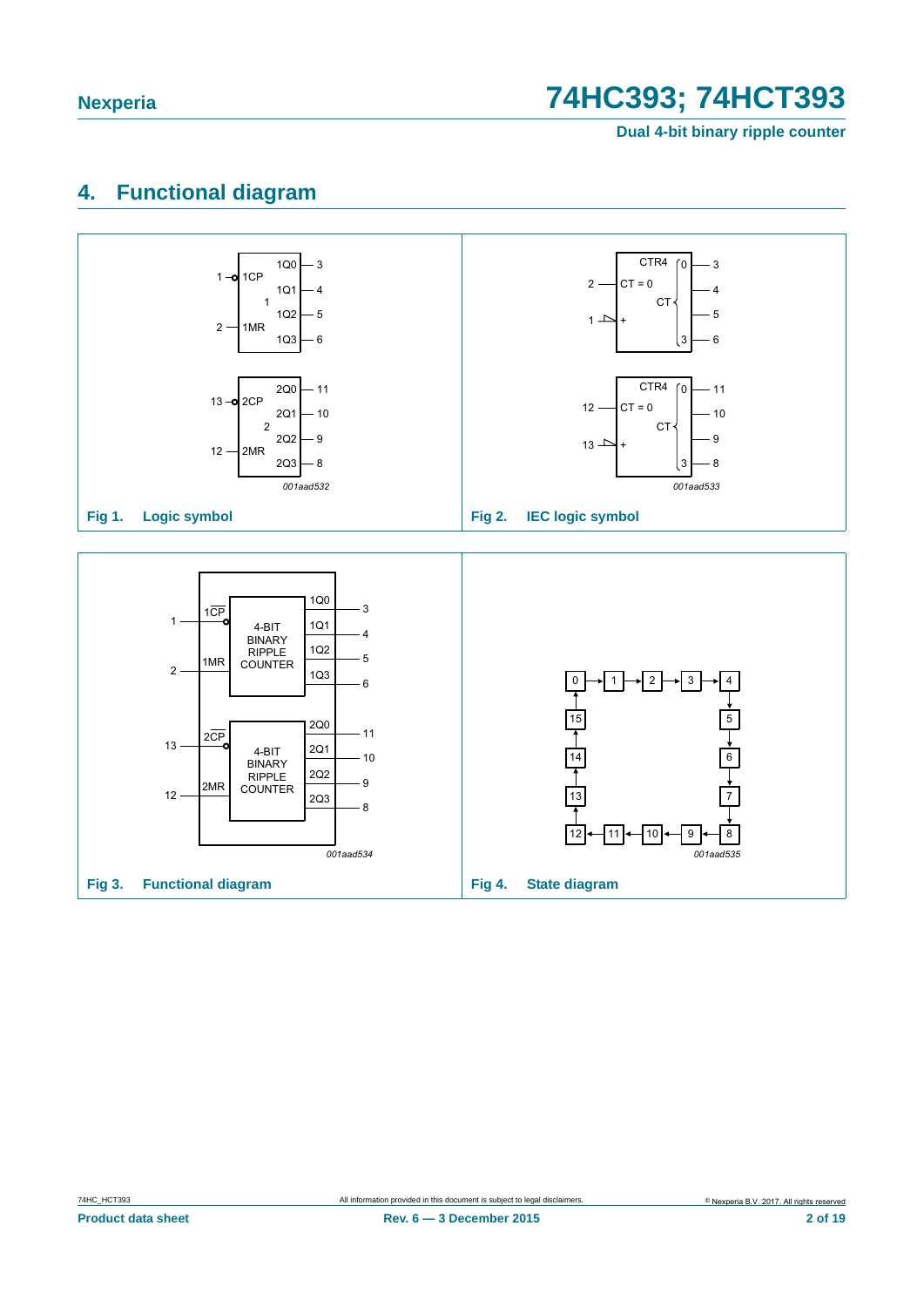**Dual 4-bit binary ripple counter**

## <span id="page-1-0"></span>**4. Functional diagram**

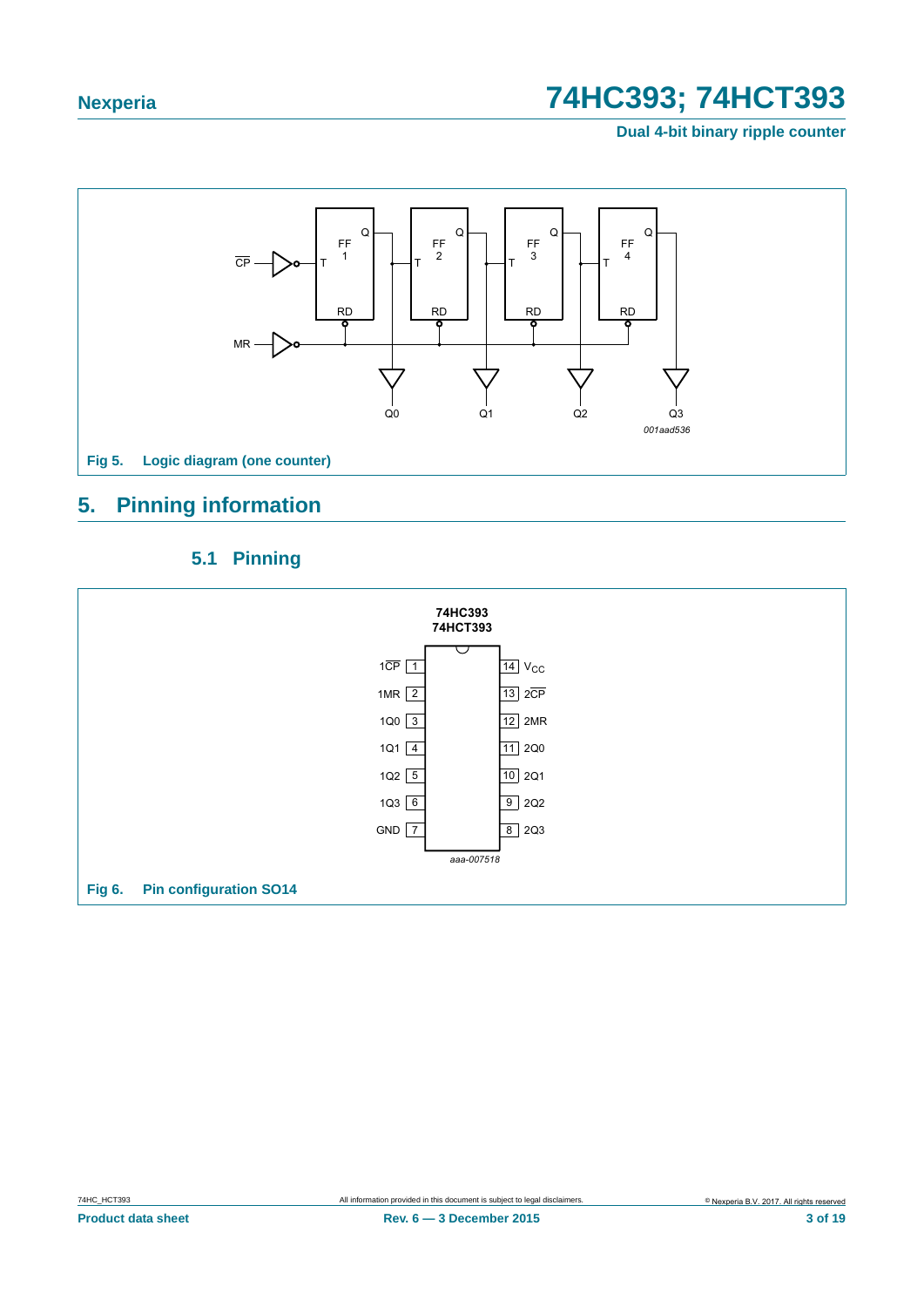**Dual 4-bit binary ripple counter**



## <span id="page-2-0"></span>**5. Pinning information**

### **5.1 Pinning**

<span id="page-2-1"></span>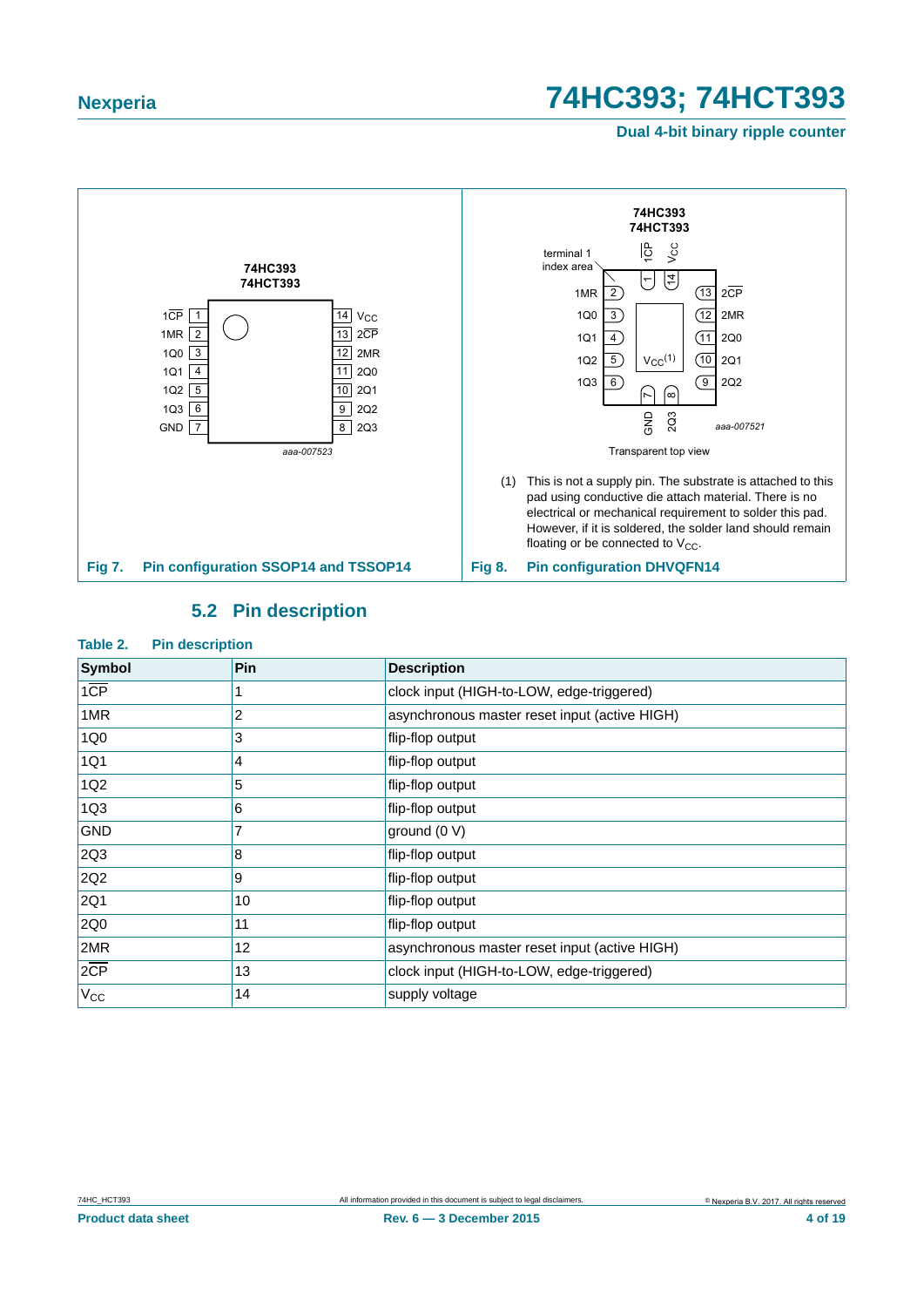**Dual 4-bit binary ripple counter**



### **5.2 Pin description**

#### <span id="page-3-0"></span>**Table 2. Pin description**

| <b>Symbol</b>    | <b>Pin</b> | <b>Description</b>                            |
|------------------|------------|-----------------------------------------------|
| $1\overline{CP}$ |            | clock input (HIGH-to-LOW, edge-triggered)     |
| 1MR              | 2          | asynchronous master reset input (active HIGH) |
| 1Q <sub>0</sub>  | 3          | flip-flop output                              |
| 1Q1              | 4          | flip-flop output                              |
| 1Q <sub>2</sub>  | 5          | flip-flop output                              |
| 1Q <sub>3</sub>  | 6          | flip-flop output                              |
| <b>GND</b>       | 7          | ground (0 V)                                  |
| 2Q3              | 8          | flip-flop output                              |
| 2Q <sub>2</sub>  | 9          | flip-flop output                              |
| 2Q1              | 10         | flip-flop output                              |
| 2Q0              | 11         | flip-flop output                              |
| 2MR              | 12         | asynchronous master reset input (active HIGH) |
| $2\overline{CP}$ | 13         | clock input (HIGH-to-LOW, edge-triggered)     |
| $V_{CC}$         | 14         | supply voltage                                |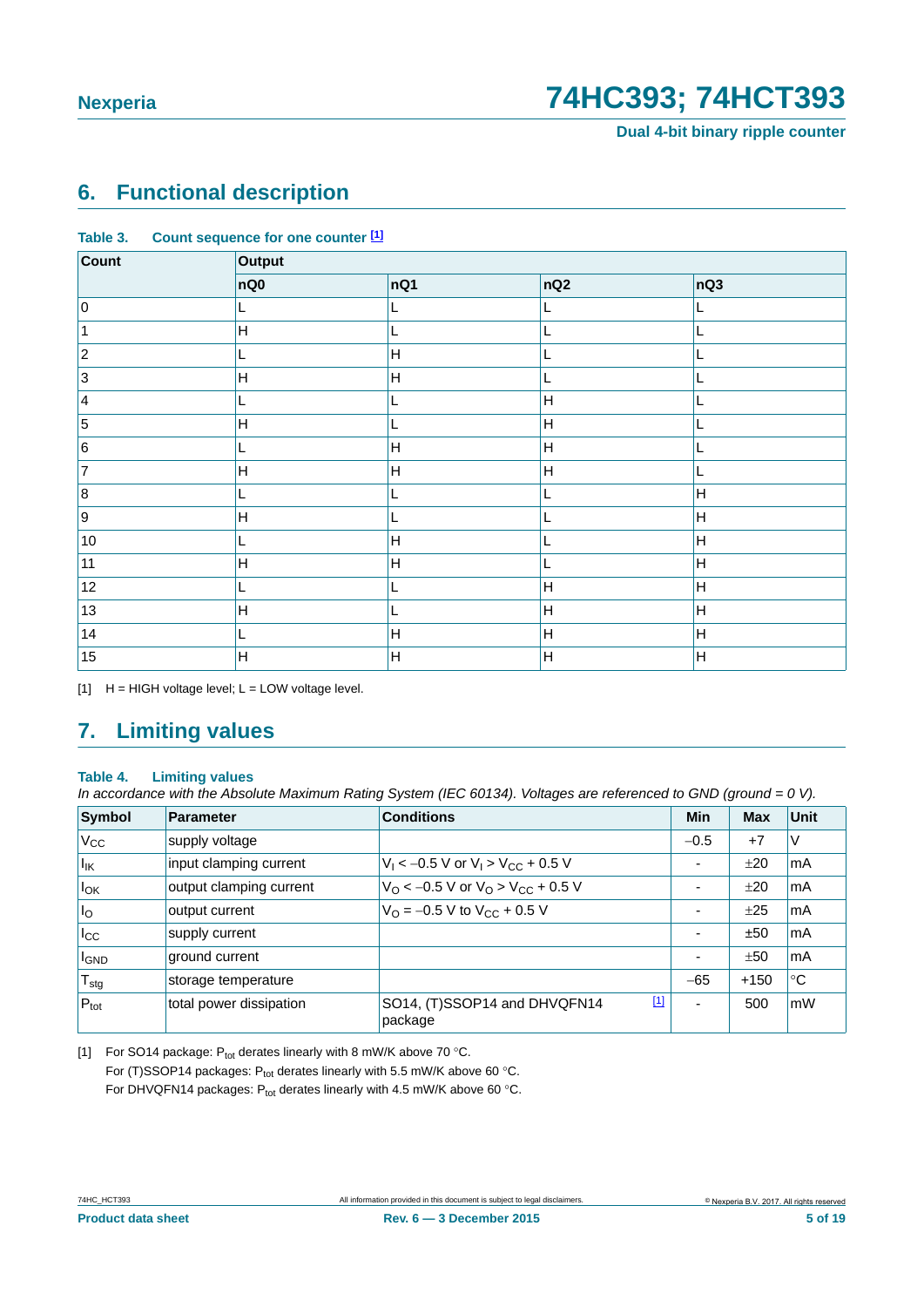**Dual 4-bit binary ripple counter**

### <span id="page-4-2"></span>**6. Functional description**

| Count       | Output                    |                         |                           |                           |
|-------------|---------------------------|-------------------------|---------------------------|---------------------------|
|             | nQ0                       | nQ1                     | nQ2                       | nQ3                       |
| 0           | L                         |                         |                           | L                         |
|             | Н                         |                         | L                         | L                         |
| $ 2\rangle$ | L                         | Н                       |                           |                           |
| $ 3\rangle$ | Н                         | Н                       |                           |                           |
| $\vert 4$   |                           |                         | Н                         |                           |
| 5           | $\mathsf{H}$              |                         | $\mathsf{H}%$             |                           |
| 6           |                           | $\mathsf{H}$            | $\boldsymbol{\mathsf{H}}$ |                           |
| 7           | $\boldsymbol{\mathsf{H}}$ | Н                       | $\boldsymbol{\mathsf{H}}$ |                           |
| 8           | L                         |                         |                           | H                         |
| 9           | $\mathsf{H}$              |                         |                           | H                         |
| $10\,$      | L                         | Н                       |                           | H                         |
| 11          | $\mathsf{H}$              | Н                       |                           | H                         |
| 12          | L                         |                         | Н                         | $\mathsf{H}$              |
| 13          | $\overline{H}$            |                         | $\boldsymbol{\mathsf{H}}$ | $\mathsf{H}$              |
| $14$        | L,                        | $\overline{\mathsf{H}}$ | $\mathsf{H}%$             | H                         |
| 15          | Н                         | H                       | $\boldsymbol{\mathsf{H}}$ | $\boldsymbol{\mathsf{H}}$ |

**Table 3. Count sequence for one counter [\[1\]](#page-4-0)**

<span id="page-4-0"></span> $[1]$  H = HIGH voltage level; L = LOW voltage level.

### <span id="page-4-3"></span>**7. Limiting values**

#### **Table 4. Limiting values**

*In accordance with the Absolute Maximum Rating System (IEC 60134). Voltages are referenced to GND (ground = 0 V).*

| Symbol           | <b>Parameter</b>        | <b>Conditions</b>                                          | Min                      | <b>Max</b> | Unit |
|------------------|-------------------------|------------------------------------------------------------|--------------------------|------------|------|
| $V_{\rm CC}$     | supply voltage          |                                                            | $-0.5$                   | $+7$       | V    |
| $ I_{IK} $       | input clamping current  | $V_1$ < -0.5 V or $V_1$ > $V_{CC}$ + 0.5 V                 | $\overline{\phantom{a}}$ | ±20        | mA   |
| $I_{OK}$         | output clamping current | $V_{\rm O}$ < -0.5 V or $V_{\rm O}$ > $V_{\rm CC}$ + 0.5 V | $\overline{\phantom{a}}$ | ±20        | mA   |
| $I_{\rm O}$      | output current          | $V_{\Omega} = -0.5 V$ to $V_{\text{CC}} + 0.5 V$           | $\overline{\phantom{a}}$ | ±25        | mA   |
| $I_{\rm CC}$     | supply current          |                                                            | ۰                        | ±50        | mA   |
| <b>I</b> GND     | ground current          |                                                            | $\overline{\phantom{0}}$ | ±50        | mA   |
| $T_{\text{stg}}$ | storage temperature     |                                                            | $-65$                    | $+150$     | ℃    |
| $P_{\text{tot}}$ | total power dissipation | $[1]$<br>SO14, (T)SSOP14 and DHVQFN14<br>package           | $\overline{\phantom{0}}$ | 500        | mW   |

<span id="page-4-1"></span>[1] For SO14 package:  $P_{tot}$  derates linearly with 8 mW/K above 70 °C. For (T)SSOP14 packages:  $P_{tot}$  derates linearly with 5.5 mW/K above 60 °C. For DHVQFN14 packages:  $P_{tot}$  derates linearly with 4.5 mW/K above 60 °C.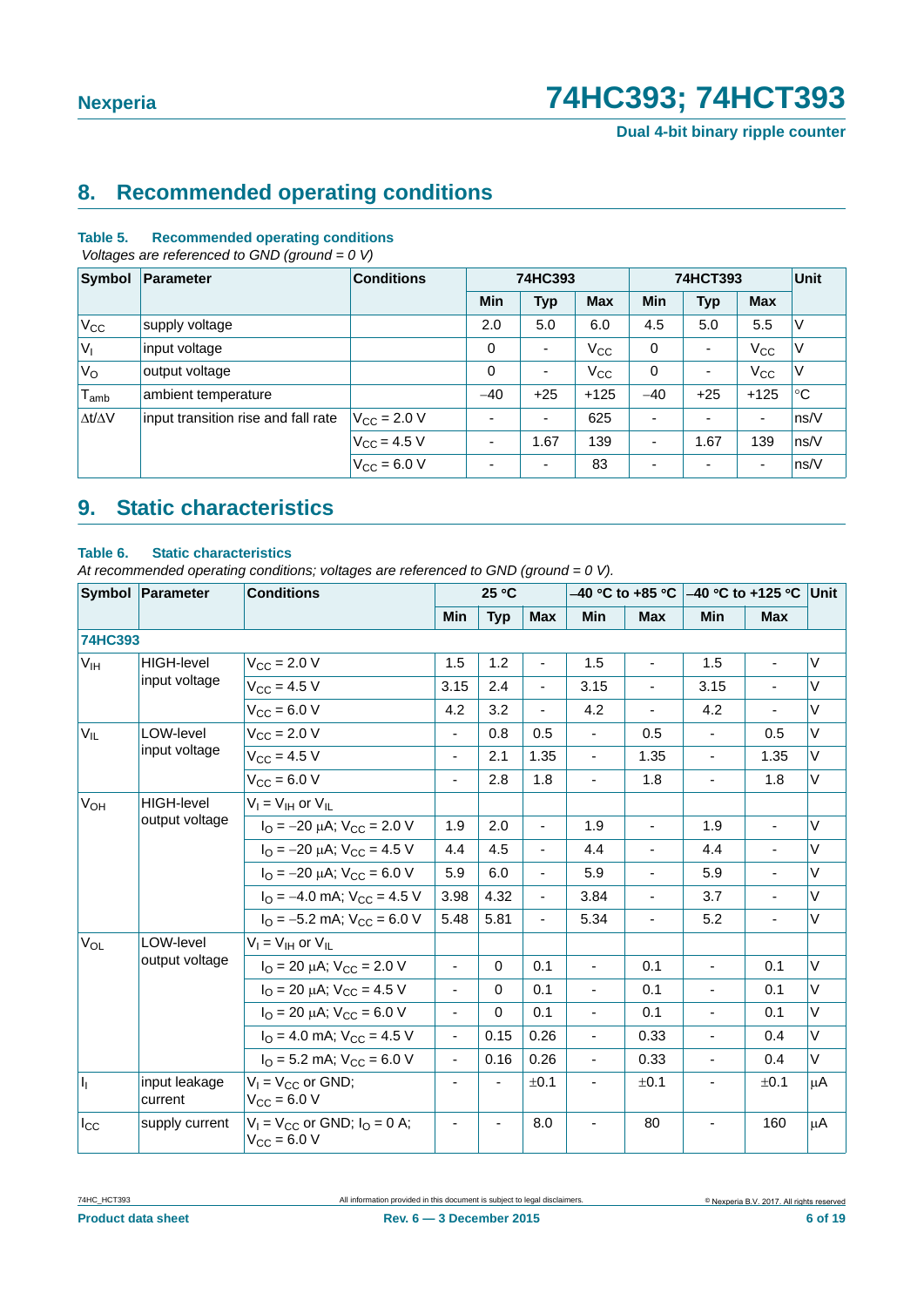**Dual 4-bit binary ripple counter**

### <span id="page-5-0"></span>**8. Recommended operating conditions**

#### **Table 5. Recommended operating conditions**

 *Voltages are referenced to GND (ground = 0 V)*

| Symbol              | Parameter                           | <b>Conditions</b>       | 74HC393 |            | 74HCT393   |                          |                | <b>Unit</b>    |             |
|---------------------|-------------------------------------|-------------------------|---------|------------|------------|--------------------------|----------------|----------------|-------------|
|                     |                                     |                         | Min     | <b>Typ</b> | <b>Max</b> | <b>Min</b>               | <b>Typ</b>     | <b>Max</b>     |             |
| $V_{\rm CC}$        | supply voltage                      |                         | 2.0     | 5.0        | 6.0        | 4.5                      | 5.0            | 5.5            | ٧           |
| $V_{I}$             | input voltage                       |                         | 0       | ٠          | $V_{CC}$   | 0                        | ٠              | $V_{\rm CC}$   | V           |
| $V_{\rm O}$         | output voltage                      |                         | 0       | ٠          | $V_{CC}$   | 0                        | ٠              | $V_{\rm CC}$   | V           |
| $T_{\mathsf{amb}}$  | ambient temperature                 |                         | $-40$   | $+25$      | $+125$     | $-40$                    | $+25$          | $+125$         | $^{\circ}C$ |
| $\Delta t/\Delta V$ | input transition rise and fall rate | $V_{\rm CC}$ = 2.0 V    | ۰       | ٠          | 625        |                          | $\blacksquare$ | $\blacksquare$ | ns/V        |
|                     |                                     | $V_{CC} = 4.5 V$        | ٠       | 1.67       | 139        | $\overline{\phantom{a}}$ | 1.67           | 139            | ns/V        |
|                     |                                     | $V_{\text{CC}} = 6.0 V$ |         | ٠          | 83         |                          | ٠              | ٠              | ns/V        |

## <span id="page-5-1"></span>**9. Static characteristics**

#### **Table 6. Static characteristics**

*At recommended operating conditions; voltages are referenced to GND (ground = 0 V).*

|                | Symbol Parameter         | <b>Conditions</b>                                                  |                          | 25 °C      |                          |                          |                          |                |                |        |
|----------------|--------------------------|--------------------------------------------------------------------|--------------------------|------------|--------------------------|--------------------------|--------------------------|----------------|----------------|--------|
|                |                          |                                                                    | Min                      | <b>Typ</b> | <b>Max</b>               | <b>Min</b>               | <b>Max</b>               | Min            | <b>Max</b>     |        |
| <b>74HC393</b> |                          |                                                                    |                          |            |                          |                          |                          |                |                |        |
| $V_{IH}$       | HIGH-level               | $V_{CC}$ = 2.0 V                                                   | 1.5                      | 1.2        |                          | 1.5                      | $\blacksquare$           | 1.5            | $\blacksquare$ | V      |
|                | input voltage            | $V_{CC}$ = 4.5 V                                                   | 3.15                     | 2.4        | $\overline{\phantom{0}}$ | 3.15                     |                          | 3.15           |                | V      |
|                |                          | $V_{CC} = 6.0 V$                                                   | 4.2                      | 3.2        |                          | 4.2                      |                          | 4.2            | $\blacksquare$ | V      |
| $V_{IL}$       | LOW-level                | $V_{CC} = 2.0 V$                                                   | $\blacksquare$           | 0.8        | 0.5                      | $\overline{\phantom{a}}$ | 0.5                      |                | 0.5            | V      |
|                | input voltage            | $V_{CC} = 4.5 V$                                                   | $\overline{\phantom{a}}$ | 2.1        | 1.35                     | $\overline{\phantom{a}}$ | 1.35                     | $\blacksquare$ | 1.35           | V      |
|                |                          | $V_{CC} = 6.0 V$                                                   | $\overline{\phantom{a}}$ | 2.8        | 1.8                      | $\overline{\phantom{a}}$ | 1.8                      | $\blacksquare$ | 1.8            | V      |
| $V_{OH}$       | <b>HIGH-level</b>        | $V_I = V_{IH}$ or $V_{IL}$                                         |                          |            |                          |                          |                          |                |                |        |
|                | output voltage           | $I_{\text{O}} = -20 \mu\text{A}$ ; $V_{\text{CC}} = 2.0 \text{ V}$ | 1.9                      | 2.0        | $\blacksquare$           | 1.9                      | $\overline{\phantom{a}}$ | 1.9            | $\blacksquare$ | V      |
|                |                          | $I_{\Omega}$ = -20 $\mu$ A; V <sub>CC</sub> = 4.5 V                | 4.4                      | 4.5        | $\overline{\phantom{a}}$ | 4.4                      | $\overline{\phantom{0}}$ | 4.4            | $\blacksquare$ | V      |
|                |                          | $I_{\Omega}$ = -20 $\mu$ A; V <sub>CC</sub> = 6.0 V                | 5.9                      | 6.0        | $\blacksquare$           | 5.9                      | $\blacksquare$           | 5.9            | $\blacksquare$ | V      |
|                |                          | $IO = -4.0$ mA; $VCC = 4.5$ V                                      | 3.98                     | 4.32       | $\overline{\phantom{a}}$ | 3.84                     | $\overline{\phantom{a}}$ | 3.7            | $\blacksquare$ | V      |
|                |                          | $I_{\Omega}$ = -5.2 mA; $V_{\text{CC}}$ = 6.0 V                    | 5.48                     | 5.81       | ٠                        | 5.34                     | $\blacksquare$           | 5.2            | $\blacksquare$ | V      |
| $V_{OL}$       | LOW-level                | $V_I = V_{IH}$ or $V_{IL}$                                         |                          |            |                          |                          |                          |                |                |        |
|                | output voltage           | $I_{\text{O}}$ = 20 µA; $V_{\text{CC}}$ = 2.0 V                    | $\blacksquare$           | $\Omega$   | 0.1                      | ÷,                       | 0.1                      | $\blacksquare$ | 0.1            | V      |
|                |                          | $I_{\text{O}}$ = 20 µA; $V_{\text{CC}}$ = 4.5 V                    | $\overline{\phantom{a}}$ | $\Omega$   | 0.1                      | ÷,                       | 0.1                      | $\blacksquare$ | 0.1            | $\vee$ |
|                |                          | $I_{\Omega}$ = 20 $\mu$ A; V <sub>CC</sub> = 6.0 V                 | $\blacksquare$           | $\Omega$   | 0.1                      | $\blacksquare$           | 0.1                      | $\blacksquare$ | 0.1            | V      |
|                |                          | $IO = 4.0$ mA; $VCC = 4.5$ V                                       | $\overline{\phantom{a}}$ | 0.15       | 0.26                     | $\overline{\phantom{a}}$ | 0.33                     | $\blacksquare$ | 0.4            | V      |
|                |                          | $IO$ = 5.2 mA; $VCC$ = 6.0 V                                       | $\overline{\phantom{a}}$ | 0.16       | 0.26                     | $\blacksquare$           | 0.33                     | $\sim$         | 0.4            | V      |
| h              | input leakage<br>current | $V_1 = V_{CC}$ or GND;<br>$V_{\rm CC} = 6.0 V$                     |                          |            | ±0.1                     | $\blacksquare$           | ±0.1                     |                | ±0.1           | μA     |
| $I_{\rm CC}$   | supply current           | $V_1 = V_{CC}$ or GND; $I_Q = 0$ A;<br>$V_{CC} = 6.0 V$            |                          |            | 8.0                      |                          | 80                       |                | 160            | μA     |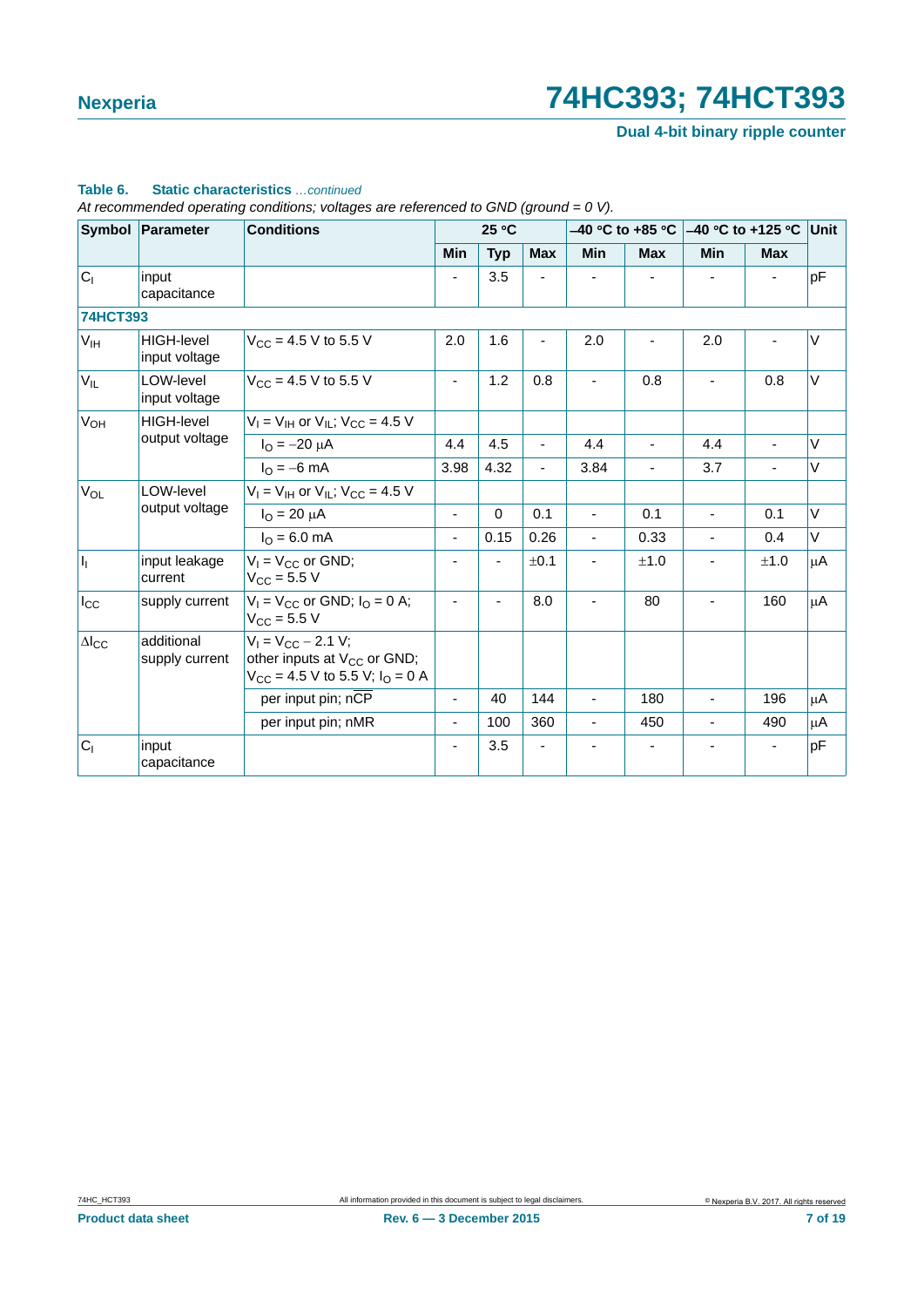**Dual 4-bit binary ripple counter**

#### **Table 6. Static characteristics** *…continued*

*At recommended operating conditions; voltages are referenced to GND (ground = 0 V).*

|                        | Symbol Parameter                   | <b>Conditions</b>                                                                                               |                          | 25 °C       |            |                |                |                |                |         |
|------------------------|------------------------------------|-----------------------------------------------------------------------------------------------------------------|--------------------------|-------------|------------|----------------|----------------|----------------|----------------|---------|
|                        |                                    |                                                                                                                 | Min                      | <b>Typ</b>  | <b>Max</b> | <b>Min</b>     | <b>Max</b>     | Min            | <b>Max</b>     |         |
| C <sub>1</sub>         | input<br>capacitance               |                                                                                                                 |                          | 3.5         |            |                |                |                |                | pF      |
| <b>74HCT393</b>        |                                    |                                                                                                                 |                          |             |            |                |                |                |                |         |
| $V_{IH}$               | <b>HIGH-level</b><br>input voltage | $V_{CC}$ = 4.5 V to 5.5 V                                                                                       | 2.0                      | 1.6         |            | 2.0            |                | 2.0            |                | $\vee$  |
| $V_{IL}$               | LOW-level<br>input voltage         | $V_{\text{CC}} = 4.5 \text{ V}$ to 5.5 V                                                                        | $\overline{\phantom{0}}$ | 1.2         | 0.8        | $\blacksquare$ | 0.8            |                | 0.8            | $\vee$  |
| $V_{OH}$               | <b>HIGH-level</b>                  | $V_1 = V_{1H}$ or $V_{1I}$ ; $V_{CC} = 4.5$ V                                                                   |                          |             |            |                |                |                |                |         |
|                        | output voltage                     | $I_{\Omega} = -20 \mu A$                                                                                        | 4.4                      | 4.5         | ÷.         | 4.4            | $\blacksquare$ | 4.4            | $\blacksquare$ | $\vee$  |
|                        |                                    | $I_{\Omega} = -6$ mA                                                                                            | 3.98                     | 4.32        | ÷,         | 3.84           |                | 3.7            |                | V       |
| $V_{OL}$               | LOW-level                          | $V_1 = V_{1H}$ or $V_{1L}$ ; $V_{CC} = 4.5$ V                                                                   |                          |             |            |                |                |                |                |         |
|                        | output voltage                     | $I_{\Omega} = 20 \mu A$                                                                                         | $\overline{\phantom{a}}$ | $\mathbf 0$ | 0.1        | $\blacksquare$ | 0.1            | $\blacksquare$ | 0.1            | V       |
|                        |                                    | $I_{\Omega} = 6.0$ mA                                                                                           | ٠                        | 0.15        | 0.26       | -              | 0.33           |                | 0.4            | V       |
| $\mathsf{I}_1$         | input leakage<br>current           | $V_1 = V_{CC}$ or GND;<br>$V_{CC} = 5.5 V$                                                                      |                          |             | ±0.1       | ٠              | ±1.0           |                | ±1.0           | μA      |
| $I_{\rm CC}$           | supply current                     | $V_1 = V_{CC}$ or GND; $I_Q = 0$ A;<br>$V_{CC}$ = 5.5 V                                                         |                          |             | 8.0        | $\blacksquare$ | 80             |                | 160            | $\mu$ A |
| $\Delta$ <sub>cc</sub> | additional<br>supply current       | $V_1 = V_{CC} - 2.1 V$ ;<br>other inputs at V <sub>CC</sub> or GND;<br>$V_{CC}$ = 4.5 V to 5.5 V; $I_{O}$ = 0 A |                          |             |            |                |                |                |                |         |
|                        |                                    | per input pin; nCP                                                                                              | ٠                        | 40          | 144        | $\blacksquare$ | 180            | $\blacksquare$ | 196            | μA      |
|                        |                                    | per input pin; nMR                                                                                              | -                        | 100         | 360        | $\blacksquare$ | 450            |                | 490            | μA      |
| $C_1$                  | input<br>capacitance               |                                                                                                                 |                          | 3.5         |            |                |                |                |                | pF      |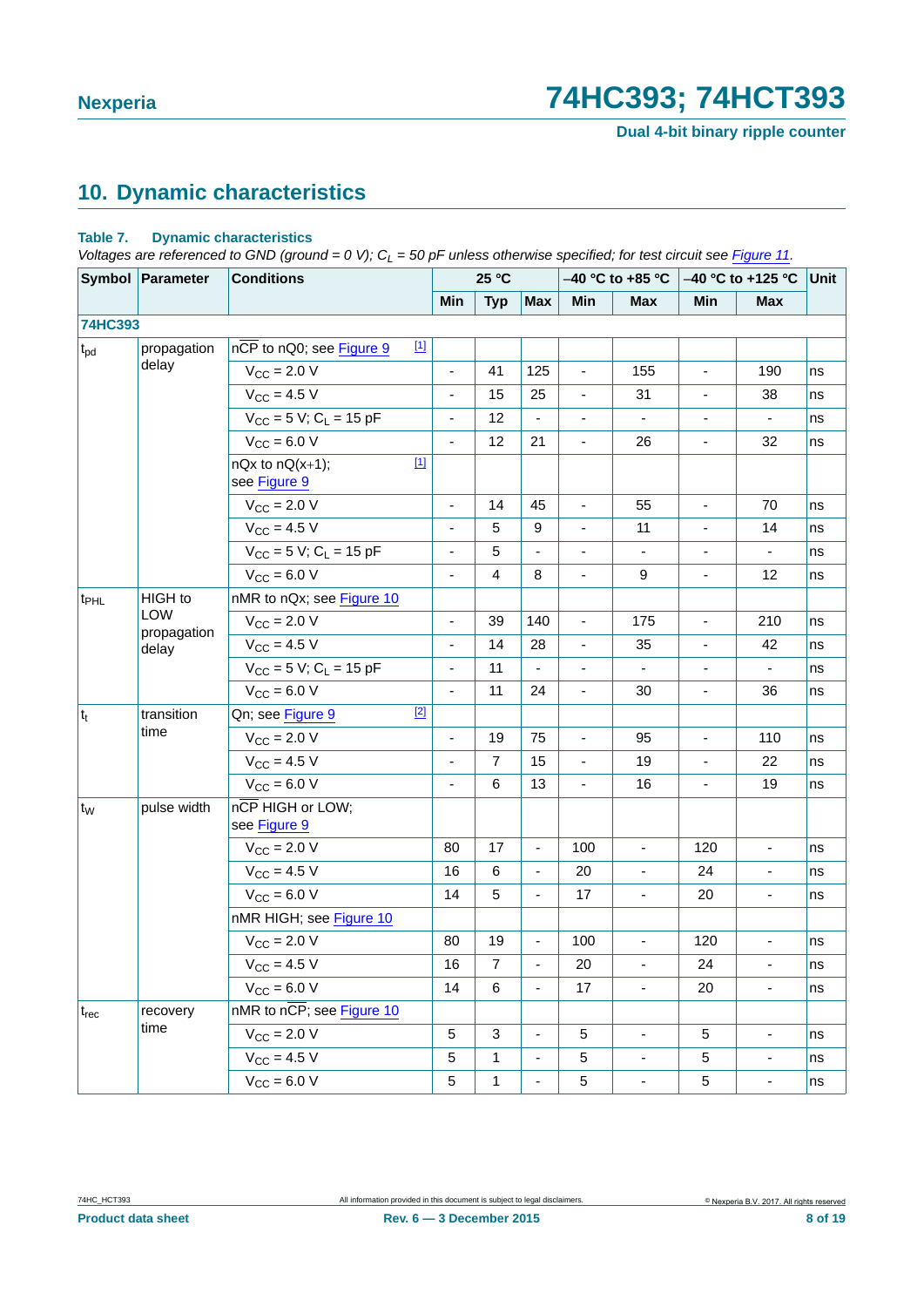**Dual 4-bit binary ripple counter**

# <span id="page-7-0"></span>**10. Dynamic characteristics**

#### **Table 7. Dynamic characteristics**

*Voltages are referenced to GND (ground = 0 V); CL = 50 pF unless otherwise specified; for test circuit see [Figure 11](#page-10-0).*

|                  | Symbol Parameter     | <b>Conditions</b>                      |                              | 25 °C          |                          |                          | $-40$ °C to +85 °C |                          | $-40$ °C to +125 °C          | Unit |
|------------------|----------------------|----------------------------------------|------------------------------|----------------|--------------------------|--------------------------|--------------------|--------------------------|------------------------------|------|
|                  |                      |                                        | Min                          | <b>Typ</b>     | Max                      | Min                      | <b>Max</b>         | Min                      | <b>Max</b>                   |      |
| <b>74HC393</b>   |                      |                                        |                              |                |                          |                          |                    |                          |                              |      |
| $t_{pd}$         | propagation          | nCP to nQ0; see Figure 9               | $\boxed{1}$                  |                |                          |                          |                    |                          |                              |      |
|                  | delay                | $V_{\text{CC}} = 2.0 V$                | ÷,                           | 41             | 125                      | $\blacksquare$           | 155                | $\overline{\phantom{a}}$ | 190                          | ns   |
|                  |                      | $V_{CC} = 4.5 V$                       | $\overline{\phantom{a}}$     | 15             | 25                       | $\overline{\phantom{a}}$ | 31                 | $\overline{\phantom{a}}$ | 38                           | ns   |
|                  |                      | $V_{CC}$ = 5 V; C <sub>L</sub> = 15 pF | $\qquad \qquad \blacksquare$ | 12             | $\blacksquare$           | $\overline{\phantom{a}}$ | $\blacksquare$     | $\overline{\phantom{a}}$ | $\blacksquare$               | ns   |
|                  |                      | $V_{CC} = 6.0 V$                       | ÷,                           | 12             | 21                       | $\overline{\phantom{a}}$ | 26                 | $\overline{\phantom{0}}$ | 32                           | ns   |
|                  |                      | $nQx$ to $nQ(x+1)$ ;<br>see Figure 9   | $\boxed{1}$                  |                |                          |                          |                    |                          |                              |      |
|                  |                      | $V_{\text{CC}} = 2.0 V$                |                              | 14             | 45                       | $\blacksquare$           | 55                 | $\overline{\phantom{a}}$ | 70                           | ns   |
|                  |                      | $V_{\rm CC} = 4.5 V$                   | $\blacksquare$               | 5              | 9                        | $\blacksquare$           | 11                 | $\overline{\phantom{a}}$ | 14                           | ns   |
|                  |                      | $V_{CC}$ = 5 V; C <sub>L</sub> = 15 pF |                              | 5              |                          |                          |                    |                          |                              | ns   |
|                  |                      | $V_{CC}$ = 6.0 V                       |                              | $\overline{4}$ | 8                        | $\blacksquare$           | 9                  | $\overline{\phantom{a}}$ | 12                           | ns   |
| t <sub>PHL</sub> | HIGH to              | nMR to nQx; see Figure 10              |                              |                |                          |                          |                    |                          |                              |      |
|                  | LOW                  | $V_{\text{CC}} = 2.0 V$                | $\blacksquare$               | 39             | 140                      | ÷,                       | 175                | $\blacksquare$           | 210                          | ns   |
|                  | propagation<br>delay | $V_{CC} = 4.5 V$                       |                              | 14             | 28                       | $\blacksquare$           | 35                 | $\blacksquare$           | 42                           | ns   |
|                  |                      | $V_{CC}$ = 5 V; C <sub>L</sub> = 15 pF |                              | 11             | $\blacksquare$           | $\blacksquare$           | $\blacksquare$     | $\overline{\phantom{a}}$ | $\blacksquare$               | ns   |
|                  |                      | $V_{CC} = 6.0 V$                       |                              | 11             | 24                       |                          | 30                 |                          | 36                           | ns   |
| $ t_t $          | transition           | Qn; see Figure 9                       | $[2]$                        |                |                          |                          |                    |                          |                              |      |
|                  | time                 | $V_{\text{CC}} = 2.0 V$                |                              | 19             | 75                       |                          | 95                 |                          | 110                          | ns   |
|                  |                      | $V_{CC} = 4.5 V$                       |                              | $\overline{7}$ | 15                       | $\overline{\phantom{a}}$ | 19                 | $\overline{\phantom{a}}$ | 22                           | ns   |
|                  |                      | $V_{\text{CC}} = 6.0 V$                |                              | 6              | 13                       | $\mathbf{r}$             | 16                 |                          | 19                           | ns   |
| $t_W$            | pulse width          | nCP HIGH or LOW;<br>see Figure 9       |                              |                |                          |                          |                    |                          |                              |      |
|                  |                      | $V_{\text{CC}} = 2.0 V$                | 80                           | 17             | $\blacksquare$           | 100                      | $\blacksquare$     | 120                      | $\blacksquare$               | ns   |
|                  |                      | $V_{CC} = 4.5 V$                       | 16                           | 6              | $\blacksquare$           | 20                       | $\blacksquare$     | 24                       | $\blacksquare$               | ns   |
|                  |                      | $V_{CC}$ = 6.0 V                       | 14                           | 5              |                          | 17                       | $\overline{a}$     | 20                       | $\blacksquare$               | ns   |
|                  |                      | nMR HIGH; see Figure 10                |                              |                |                          |                          |                    |                          |                              |      |
|                  |                      | $V_{\text{CC}} = 2.0 V$                | 80                           | 19             | $\blacksquare$           | 100                      | $\blacksquare$     | 120                      | $\blacksquare$               | ns   |
|                  |                      | $V_{CC} = 4.5 V$                       | 16                           | 7              | $\blacksquare$           | 20                       | $\blacksquare$     | 24                       | $\qquad \qquad \blacksquare$ | ns   |
|                  |                      | $V_{CC} = 6.0 V$                       | 14                           | 6              | $\blacksquare$           | 17                       | $\mathbf{r}$       | 20                       | ÷,                           | ns   |
| $t_{rec}$        | recovery             | nMR to nCP; see Figure 10              |                              |                |                          |                          |                    |                          |                              |      |
|                  | time                 | $V_{\text{CC}} = 2.0 V$                | 5                            | 3              | $\blacksquare$           | 5                        | ä,                 | 5                        | ÷,                           | ns   |
|                  |                      | $V_{CC} = 4.5 V$                       | 5                            | $\mathbf{1}$   | $\overline{\phantom{a}}$ | $\,$ 5 $\,$              | $\blacksquare$     | 5                        | $\overline{\phantom{a}}$     | ns   |
|                  |                      | $V_{CC} = 6.0 V$                       | 5                            | $\mathbf{1}$   |                          | $\sqrt{5}$               | $\blacksquare$     | 5                        | $\blacksquare$               | ns   |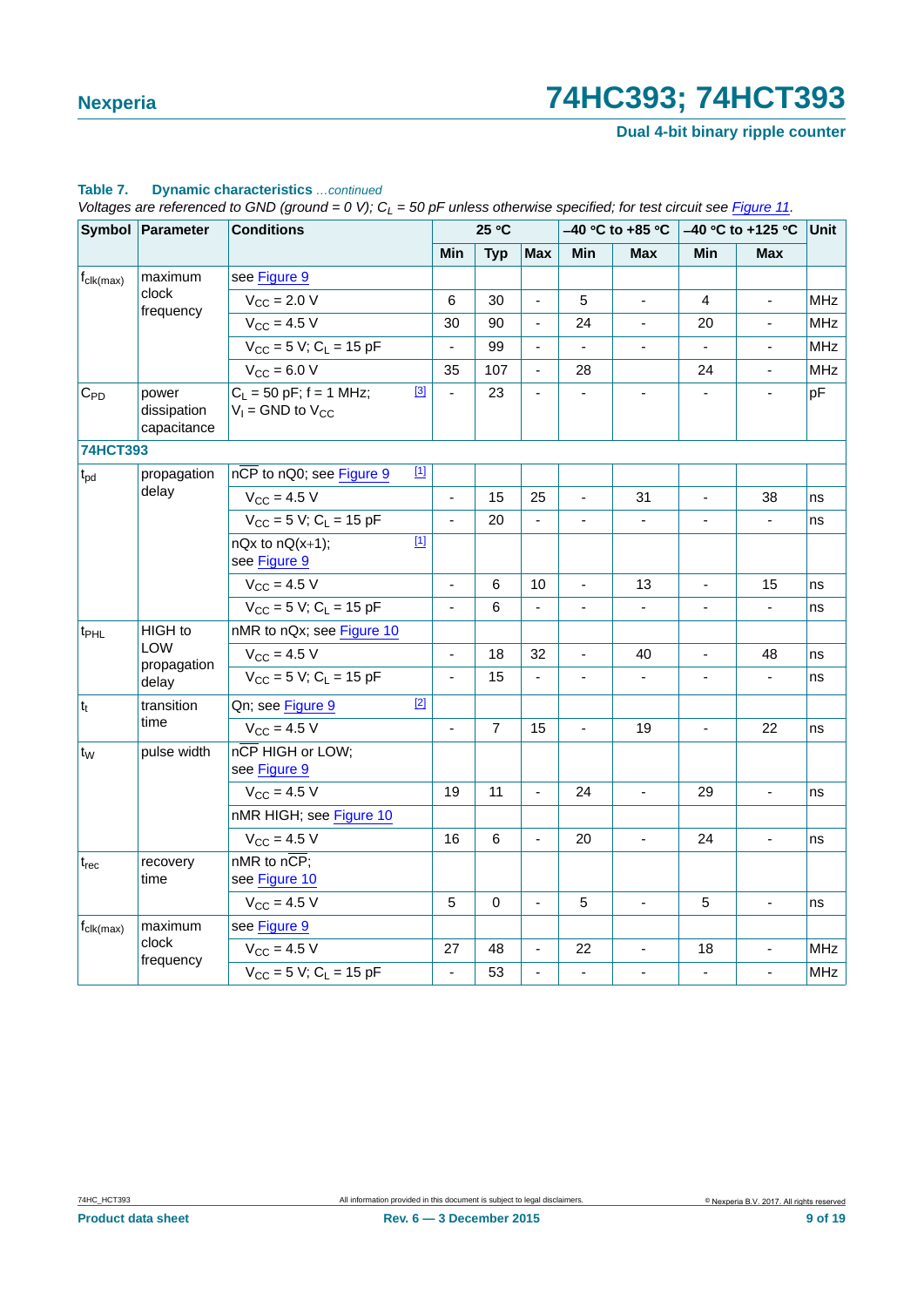**Dual 4-bit binary ripple counter**

|                              | Symbol Parameter                    | <b>Conditions</b>                                             |                          | 25 °C          |                          | $-40$ °C to +85 °C |                | -40 °C to +125 °C        |                          | Unit       |
|------------------------------|-------------------------------------|---------------------------------------------------------------|--------------------------|----------------|--------------------------|--------------------|----------------|--------------------------|--------------------------|------------|
|                              |                                     |                                                               | Min                      | <b>Typ</b>     | <b>Max</b>               | Min                | <b>Max</b>     | Min                      | <b>Max</b>               |            |
| $f_{\text{clk}(\text{max})}$ | maximum                             | see Figure 9                                                  |                          |                |                          |                    |                |                          |                          |            |
|                              | clock                               | $V_{\text{CC}}$ = 2.0 V                                       | 6                        | 30             | $\overline{\phantom{a}}$ | 5                  | $\Box$         | 4                        | $\overline{a}$           | <b>MHz</b> |
| frequency                    | $V_{CC}$ = 4.5 V                    | 30                                                            | 90                       |                | 24                       | $\blacksquare$     | 20             |                          | <b>MHz</b>               |            |
|                              |                                     | $V_{CC} = 5 V$ ; C <sub>L</sub> = 15 pF                       | $\blacksquare$           | 99             | $\blacksquare$           | $\blacksquare$     | $\blacksquare$ | $\overline{\phantom{a}}$ | $\overline{\phantom{a}}$ | <b>MHz</b> |
|                              |                                     | $V_{CC} = 6.0 V$                                              | 35                       | 107            | $\blacksquare$           | 28                 |                | 24                       | ä,                       | <b>MHz</b> |
| $C_{PD}$                     | power<br>dissipation<br>capacitance | $[3]$<br>$C_1 = 50$ pF; f = 1 MHz;<br>$V_1$ = GND to $V_{CC}$ | ä,                       | 23             |                          |                    |                |                          |                          | pF         |
| <b>74HCT393</b>              |                                     |                                                               |                          |                |                          |                    |                |                          |                          |            |
| $t_{\rm pd}$                 | propagation                         | $[1]$<br>nCP to nQ0; see Figure 9                             |                          |                |                          |                    |                |                          |                          |            |
|                              | delay                               | $V_{CC} = 4.5 V$                                              | ÷,                       | 15             | 25                       | ÷,                 | 31             |                          | 38                       | ns         |
|                              |                                     | $V_{CC}$ = 5 V; C <sub>L</sub> = 15 pF                        | ÷,                       | 20             |                          |                    |                |                          |                          | ns         |
|                              |                                     | $[1]$<br>$nQx$ to $nQ(x+1)$ ;<br>see Figure 9                 |                          |                |                          |                    |                |                          |                          |            |
|                              |                                     | $V_{CC}$ = 4.5 V                                              | $\blacksquare$           | 6              | 10                       | $\blacksquare$     | 13             | $\blacksquare$           | 15                       | ns         |
|                              |                                     | $V_{CC}$ = 5 V; C <sub>1</sub> = 15 pF                        | $\overline{\phantom{a}}$ | 6              |                          |                    | $\blacksquare$ |                          | $\overline{\phantom{0}}$ | ns         |
| $t_{\text{PHL}}$             | HIGH to                             | nMR to nQx; see Figure 10                                     |                          |                |                          |                    |                |                          |                          |            |
|                              | <b>LOW</b><br>propagation           | $V_{\rm CC} = 4.5 V$                                          | $\bar{\phantom{a}}$      | 18             | 32                       | $\overline{a}$     | 40             |                          | 48                       | ns         |
|                              | delay                               | $V_{CC}$ = 5 V; C <sub>L</sub> = 15 pF                        | $\blacksquare$           | 15             |                          | $\blacksquare$     | $\blacksquare$ | $\blacksquare$           | L.                       | ns         |
| $t_t$                        | transition                          | $[2]$<br>Qn; see Figure 9                                     |                          |                |                          |                    |                |                          |                          |            |
|                              | time                                | $V_{\rm CC} = 4.5 V$                                          | ä,                       | $\overline{7}$ | 15                       |                    | 19             |                          | 22                       | ns         |
| $t_{W}$                      | pulse width                         | nCP HIGH or LOW;<br>see Figure 9                              |                          |                |                          |                    |                |                          |                          |            |
|                              |                                     | $V_{\text{CC}} = 4.5 V$                                       | 19                       | 11             | $\blacksquare$           | 24                 | $\blacksquare$ | 29                       |                          | ns         |
|                              |                                     | nMR HIGH; see Figure 10                                       |                          |                |                          |                    |                |                          |                          |            |
|                              |                                     | $V_{CC} = 4.5 V$                                              | 16                       | 6              | L.                       | 20                 | $\blacksquare$ | 24                       | ä,                       | ns         |
| $t_{rec}$                    | recovery<br>time                    | $nMR$ to $n\overline{CP}$ ;<br>see Figure 10                  |                          |                |                          |                    |                |                          |                          |            |
|                              |                                     | $V_{CC}$ = 4.5 V                                              | 5                        | $\Omega$       | $\overline{\phantom{a}}$ | 5                  | ÷.             | 5                        |                          | ns         |
| $f_{\text{clk}(\text{max})}$ | maximum                             | see Figure 9                                                  |                          |                |                          |                    |                |                          |                          |            |
|                              | clock<br>frequency                  | $V_{\rm CC} = 4.5 V$                                          | 27                       | 48             |                          | 22                 | $\blacksquare$ | 18                       | ÷,                       | <b>MHz</b> |
|                              |                                     | $V_{CC}$ = 5 V; C <sub>1</sub> = 15 pF                        | $\overline{\phantom{a}}$ | 53             |                          | ÷,                 | $\blacksquare$ | $\blacksquare$           |                          | <b>MHz</b> |

#### **Table 7. Dynamic characteristics** *…continued*

 $V$ oltages are referenced to GND (ground = 0 V);  $C_{\text{L}}$  = 50 pF unless otherwise specified; for test circuit see *Figure 11.*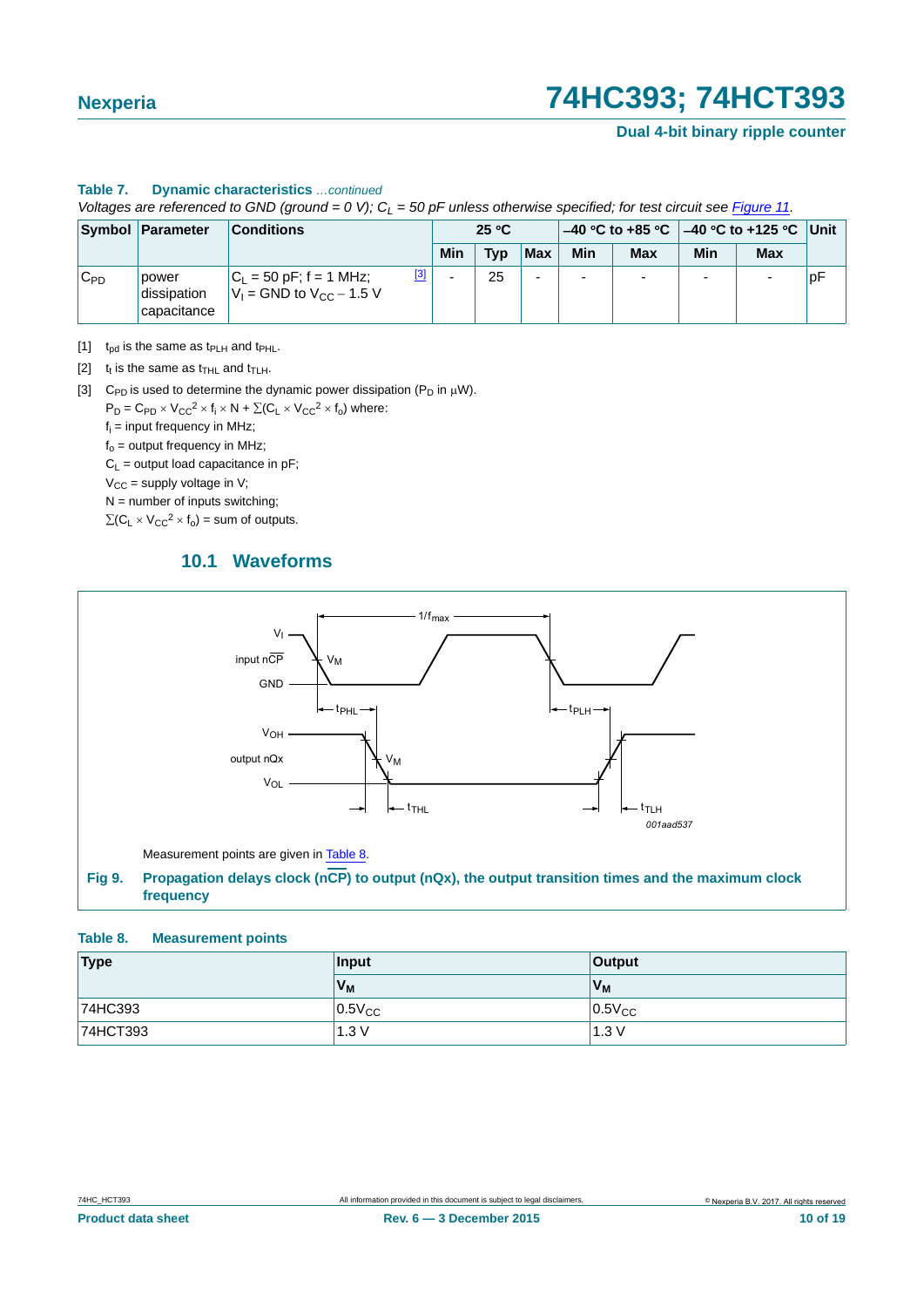**Dual 4-bit binary ripple counter**

#### **Table 7. Dynamic characteristics** *…continued*

*Voltages are referenced to GND (ground = 0 V); CL = 50 pF unless otherwise specified; for test circuit see Figure 11.*

|          | Symbol Parameter                    | <b>Conditions</b>                                                          | 25 °C                    |     |     |                          |            |                          |     |    |
|----------|-------------------------------------|----------------------------------------------------------------------------|--------------------------|-----|-----|--------------------------|------------|--------------------------|-----|----|
|          |                                     |                                                                            | Min                      | Tvp | Max | Min                      | <b>Max</b> | <b>Min</b>               | Max |    |
| $C_{PD}$ | power<br>dissipation<br>capacitance | $^{[3]}$<br>$ C_1  = 50$ pF; f = 1 MHz;<br>$V_1$ = GND to $V_{CC}$ – 1.5 V | $\overline{\phantom{0}}$ | 25  |     | $\overline{\phantom{0}}$ |            | $\overline{\phantom{0}}$ |     | рF |

<span id="page-9-1"></span>[1]  $t_{pd}$  is the same as  $t_{PLH}$  and  $t_{PHL}$ .

<span id="page-9-2"></span>[2]  $t_t$  is the same as  $t_{\text{THL}}$  and  $t_{\text{TLH}}$ .

<span id="page-9-3"></span>[3] C<sub>PD</sub> is used to determine the dynamic power dissipation (P<sub>D</sub> in  $\mu$ W).

 $P_D = C_{PD} \times V_{CC}^2 \times f_i \times N + \Sigma (C_L \times V_{CC}^2 \times f_o)$  where:

f<sub>i</sub> = input frequency in MHz;

 $f<sub>o</sub>$  = output frequency in MHz;

 $C_L$  = output load capacitance in pF;

 $V_{CC}$  = supply voltage in V;

 $N =$  number of inputs switching;

<span id="page-9-5"></span> $\Sigma(C_L \times V_{CC}^2 \times f_0)$  = sum of outputs.

### **10.1 Waveforms**



#### <span id="page-9-4"></span><span id="page-9-0"></span>**Table 8. Measurement points**

| Type     | Input        | Output         |  |  |
|----------|--------------|----------------|--|--|
|          | $V_{M}$      | V <sub>M</sub> |  |  |
| 74HC393  | $10.5V_{CC}$ | $0.5V_{CC}$    |  |  |
| 74HCT393 | 1.3V         | 1.3V           |  |  |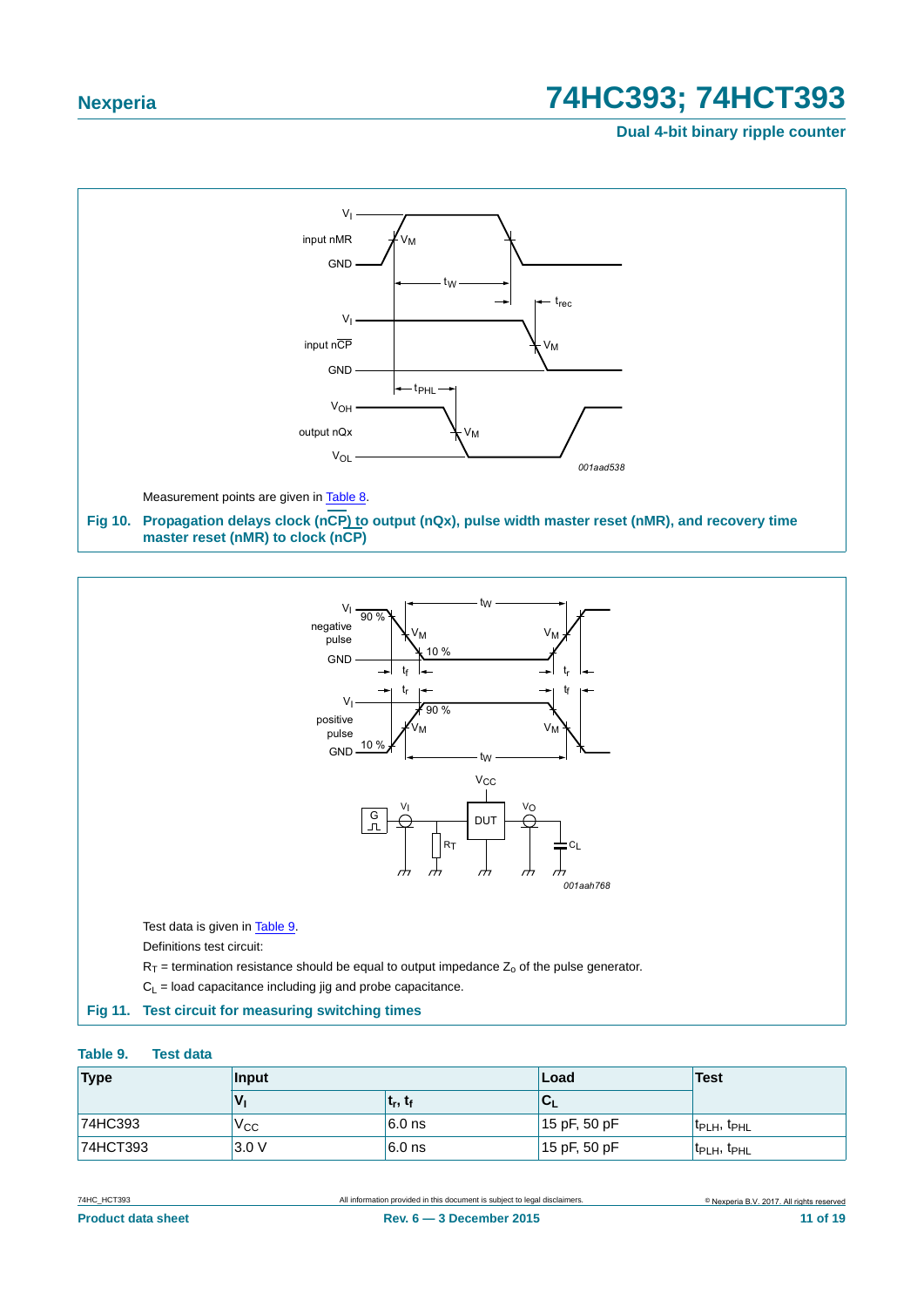**Dual 4-bit binary ripple counter**



<span id="page-10-1"></span>

#### <span id="page-10-0"></span>**Fig 11. Test circuit for measuring switching times**

#### <span id="page-10-2"></span>**Table 9. Test data**

| Type<br>Input |      |                                 | ∣Load          | <b>Test</b>                         |  |
|---------------|------|---------------------------------|----------------|-------------------------------------|--|
|               |      | t <sub>r</sub> , t <sub>f</sub> | ◡              |                                     |  |
| 74HC393       | Vcc  | $6.0$ ns                        | $15$ pF, 50 pF | t <sub>PLH</sub> , t <sub>PHL</sub> |  |
| 74HCT393      | 3.0V | $6.0$ ns                        | $15$ pF, 50 pF | t <sub>PLH</sub> , t <sub>PHL</sub> |  |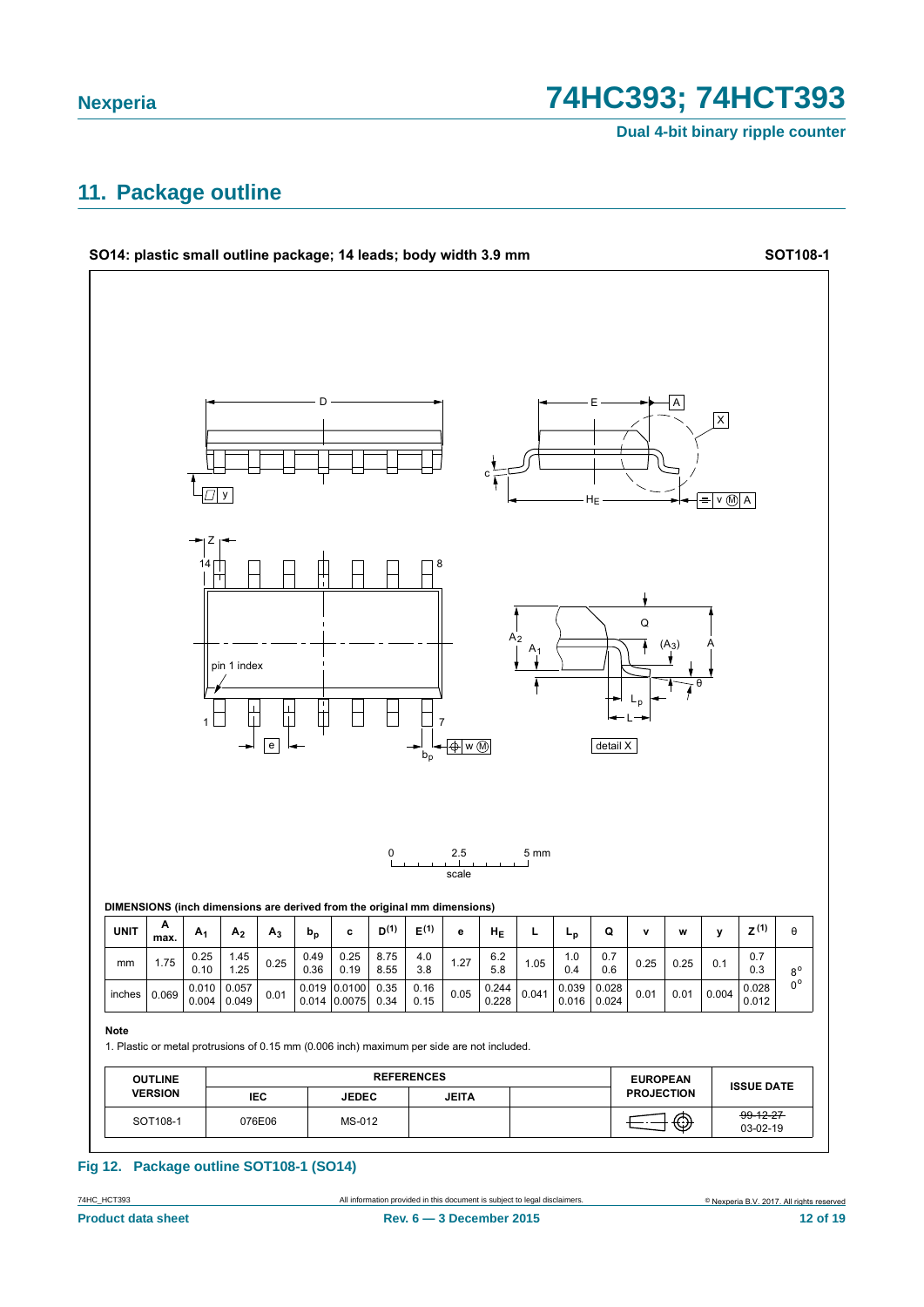Dual 4-bit binary ripple counter

### <span id="page-11-0"></span>11. Package outline



#### Fig 12. Package outline SOT108-1 (SO14)

All information provided in this document is subject to legal disclaimers

74HC\_HCT393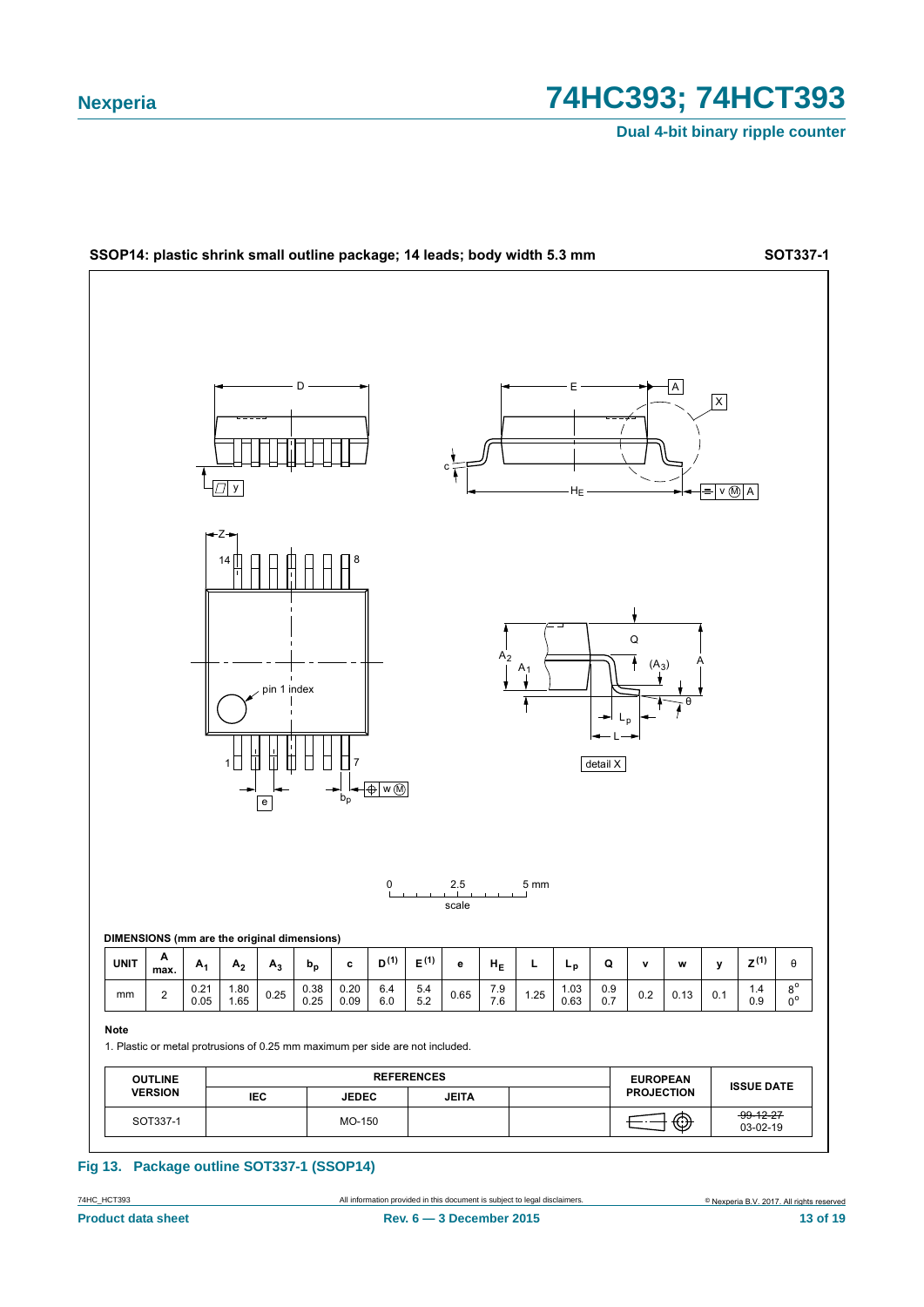Dual 4-bit binary ripple counter



#### Fig 13. Package outline SOT337-1 (SSOP14)

All information provided in this document is subject to legal disclaimers

74HC\_HCT393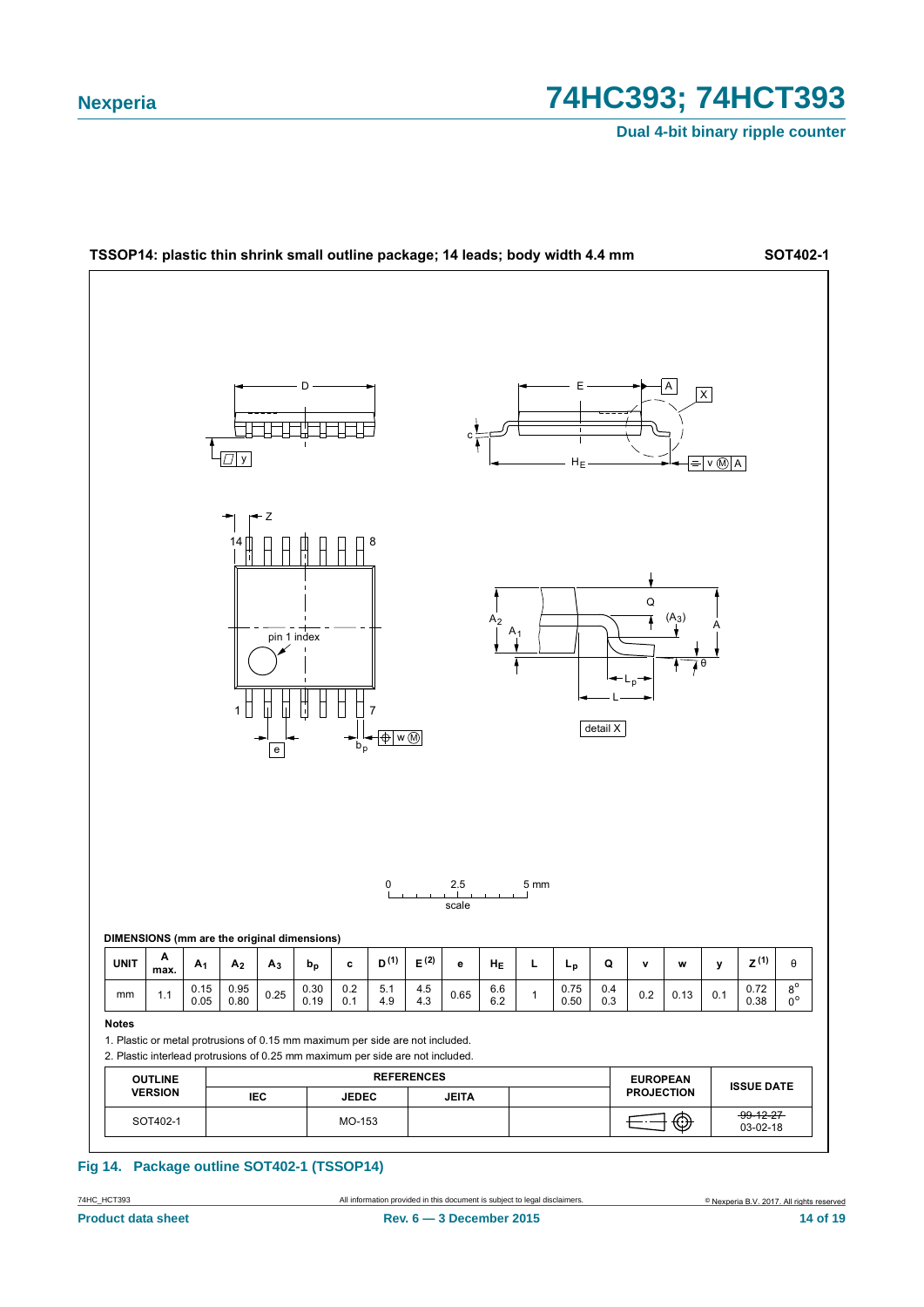Dual 4-bit binary ripple counter



#### Fig 14. Package outline SOT402-1 (TSSOP14)

All information provided in this document is subject to legal disclaimers

74HC\_HCT393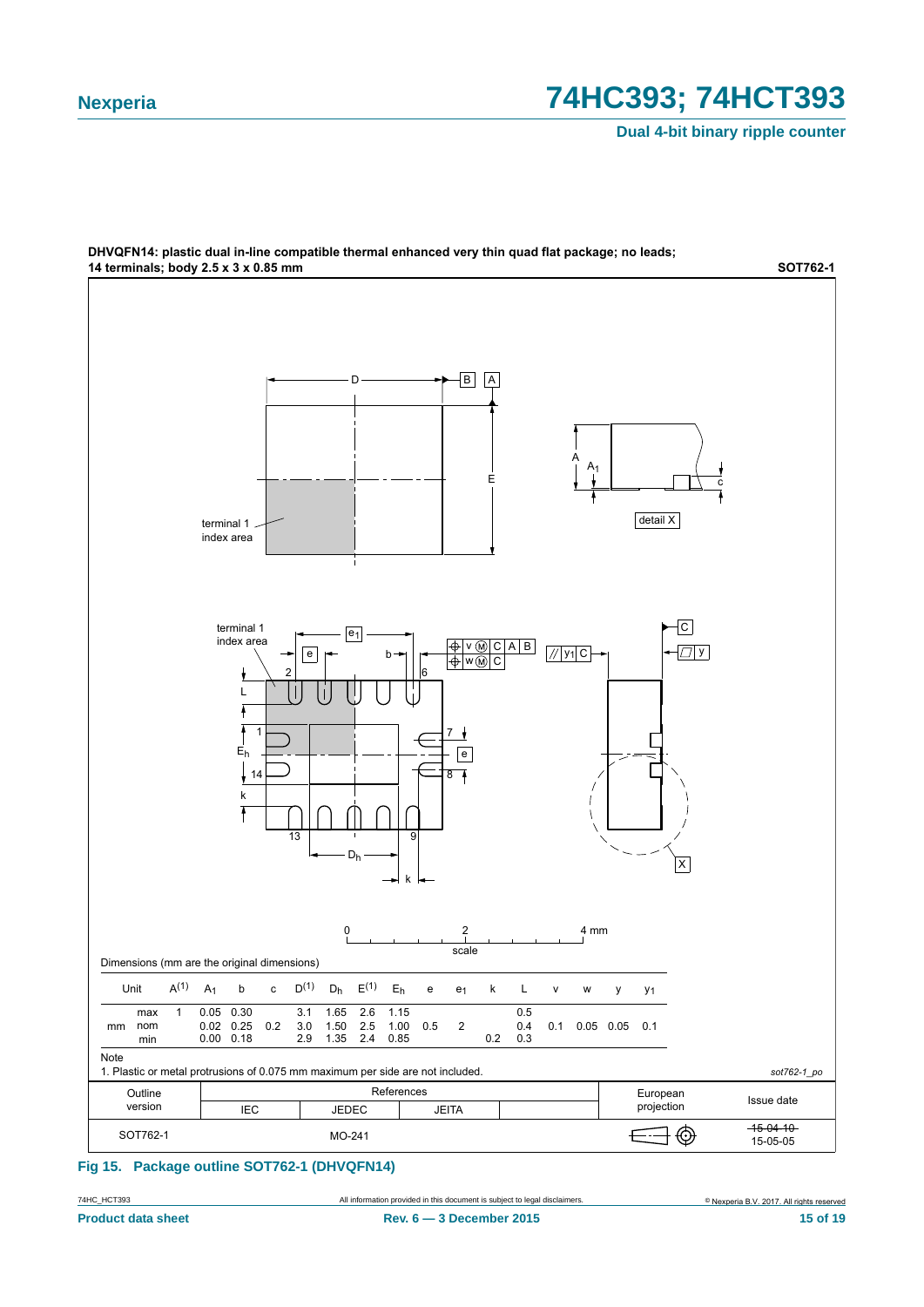**Dual 4-bit binary ripple counter**



### DHVQFN14: plastic dual in-line compatible thermal enhanced very thin quad flat package; no leads;

**Fig 15. Package outline SOT762-1 (DHVQFN14)**

74HC\_HCT393 All information provided in this document is subject to legal disclaimers.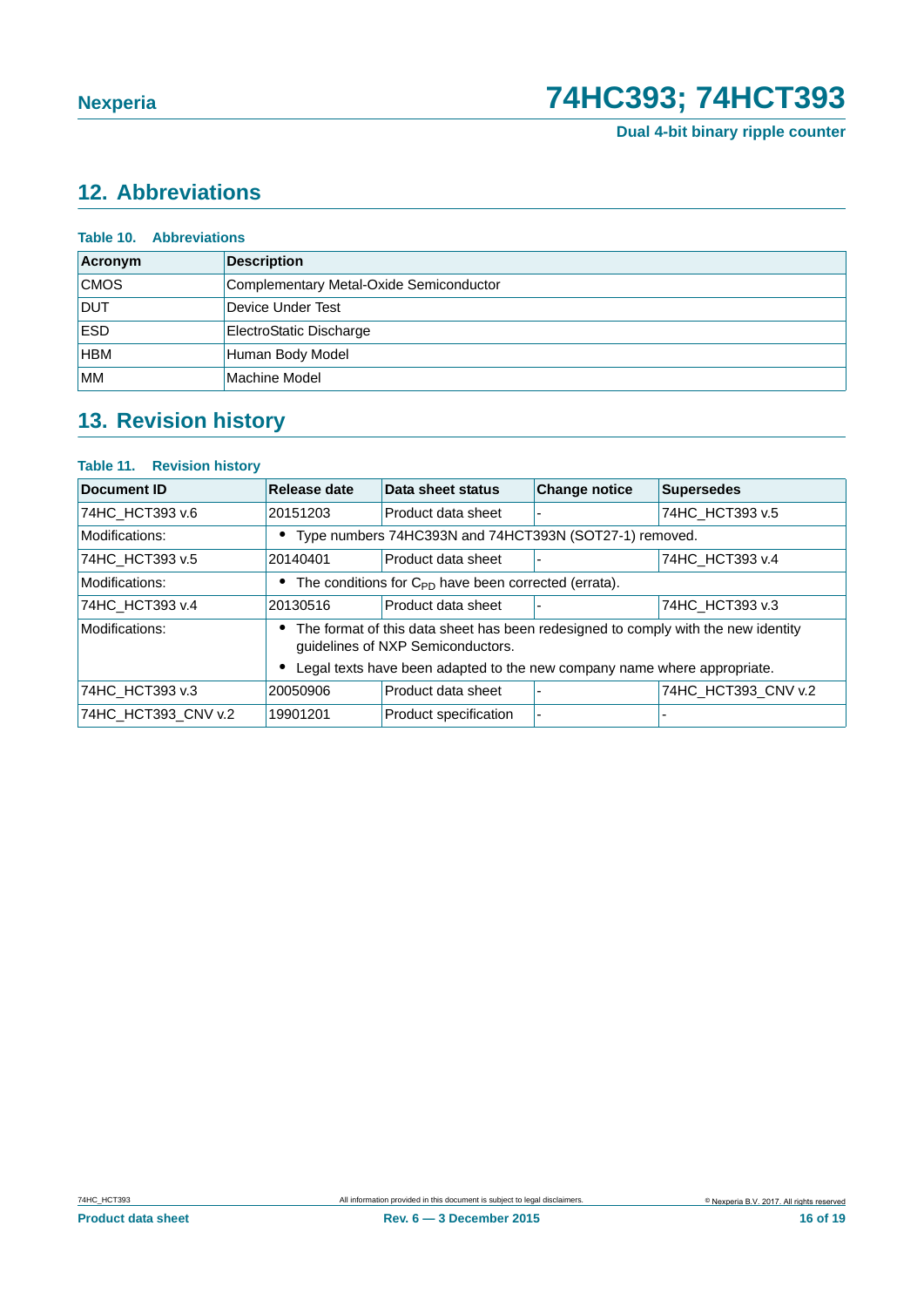**Dual 4-bit binary ripple counter**

# <span id="page-15-0"></span>**12. Abbreviations**

| <b>Table 10. Abbreviations</b> |                                         |  |
|--------------------------------|-----------------------------------------|--|
| Acronym                        | <b>Description</b>                      |  |
| <b>CMOS</b>                    | Complementary Metal-Oxide Semiconductor |  |
| <b>DUT</b>                     | Device Under Test                       |  |
| <b>ESD</b>                     | ElectroStatic Discharge                 |  |
| <b>HBM</b>                     | Human Body Model                        |  |
| <b>MM</b>                      | Machine Model                           |  |

# <span id="page-15-1"></span>**13. Revision history**

### **Table 11. Revision history**

| Document ID         | Release date                                                                                                           | Data sheet status                                                        | <b>Change notice</b> | <b>Supersedes</b>   |  |
|---------------------|------------------------------------------------------------------------------------------------------------------------|--------------------------------------------------------------------------|----------------------|---------------------|--|
| 74HC_HCT393 v.6     | 20151203                                                                                                               | Product data sheet                                                       |                      | 74HC HCT393 v.5     |  |
| Modifications:      | Type numbers 74HC393N and 74HCT393N (SOT27-1) removed.                                                                 |                                                                          |                      |                     |  |
| 74HC HCT393 v.5     | 20140401                                                                                                               | Product data sheet                                                       |                      | 74HC HCT393 v.4     |  |
| Modifications:      | The conditions for C <sub>PD</sub> have been corrected (errata).                                                       |                                                                          |                      |                     |  |
| 74HC_HCT393 v.4     | 20130516                                                                                                               | Product data sheet                                                       |                      | 74HC_HCT393 v.3     |  |
| Modifications:      | The format of this data sheet has been redesigned to comply with the new identity<br>guidelines of NXP Semiconductors. |                                                                          |                      |                     |  |
|                     |                                                                                                                        | Legal texts have been adapted to the new company name where appropriate. |                      |                     |  |
| 74HC HCT393 v.3     | 20050906                                                                                                               | Product data sheet                                                       |                      | 74HC_HCT393_CNV v.2 |  |
| 74HC_HCT393_CNV v.2 | 19901201                                                                                                               | <b>Product specification</b>                                             |                      |                     |  |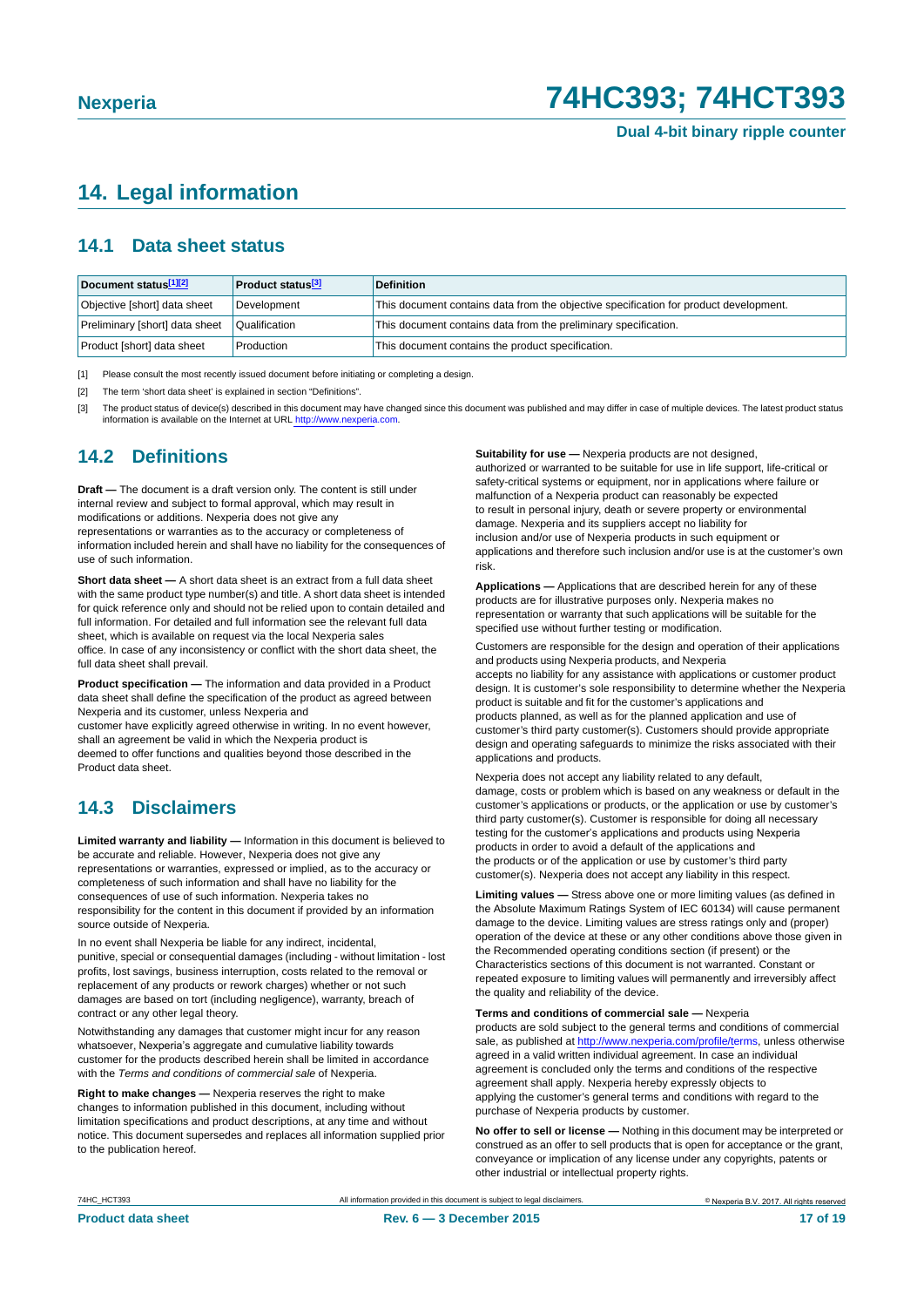### <span id="page-16-3"></span>**14. Legal information**

### <span id="page-16-4"></span>**14.1 Data sheet status**

| Document status[1][2]          | <b>Product status</b> <sup>[3]</sup> | <b>Definition</b>                                                                     |
|--------------------------------|--------------------------------------|---------------------------------------------------------------------------------------|
| Objective [short] data sheet   | Development                          | This document contains data from the objective specification for product development. |
| Preliminary [short] data sheet | Qualification                        | This document contains data from the preliminary specification.                       |
| Product [short] data sheet     | Production                           | This document contains the product specification.                                     |

<span id="page-16-0"></span>[1] Please consult the most recently issued document before initiating or completing a design.

<span id="page-16-1"></span>[2] The term 'short data sheet' is explained in section "Definitions".

<span id="page-16-2"></span>[3] The product status of device(s) described in this document may have changed since this document was published and may differ in case of multiple devices. The latest product status<br>information is available on the Intern

### <span id="page-16-5"></span>**14.2 Definitions**

**Draft —** The document is a draft version only. The content is still under internal review and subject to formal approval, which may result in modifications or additions. Nexperia does not give any

representations or warranties as to the accuracy or completeness of information included herein and shall have no liability for the consequences of use of such information.

**Short data sheet —** A short data sheet is an extract from a full data sheet with the same product type number(s) and title. A short data sheet is intended for quick reference only and should not be relied upon to contain detailed and full information. For detailed and full information see the relevant full data sheet, which is available on request via the local Nexperia sales office. In case of any inconsistency or conflict with the short data sheet, the full data sheet shall prevail.

**Product specification —** The information and data provided in a Product data sheet shall define the specification of the product as agreed between Nexperia and its customer, unless Nexperia and

customer have explicitly agreed otherwise in writing. In no event however, shall an agreement be valid in which the Nexperia product is deemed to offer functions and qualities beyond those described in the Product data sheet.

### <span id="page-16-6"></span>**14.3 Disclaimers**

**Limited warranty and liability —** Information in this document is believed to be accurate and reliable. However, Nexperia does not give any representations or warranties, expressed or implied, as to the accuracy or completeness of such information and shall have no liability for the consequences of use of such information. Nexperia takes no responsibility for the content in this document if provided by an information source outside of Nexperia.

In no event shall Nexperia be liable for any indirect, incidental, punitive, special or consequential damages (including - without limitation - lost profits, lost savings, business interruption, costs related to the removal or replacement of any products or rework charges) whether or not such damages are based on tort (including negligence), warranty, breach of contract or any other legal theory.

Notwithstanding any damages that customer might incur for any reason whatsoever, Nexperia's aggregate and cumulative liability towards customer for the products described herein shall be limited in accordance with the *Terms and conditions of commercial sale* of Nexperia.

**Right to make changes —** Nexperia reserves the right to make changes to information published in this document, including without limitation specifications and product descriptions, at any time and without notice. This document supersedes and replaces all information supplied prior to the publication hereof.

**Suitability for use - Nexperia products are not designed** authorized or warranted to be suitable for use in life support, life-critical or safety-critical systems or equipment, nor in applications where failure or malfunction of a Nexperia product can reasonably be expected to result in personal injury, death or severe property or environmental damage. Nexperia and its suppliers accept no liability for inclusion and/or use of Nexperia products in such equipment or applications and therefore such inclusion and/or use is at the customer's own risk.

**Applications —** Applications that are described herein for any of these products are for illustrative purposes only. Nexperia makes no representation or warranty that such applications will be suitable for the specified use without further testing or modification.

Customers are responsible for the design and operation of their applications and products using Nexperia products, and Nexperia accepts no liability for any assistance with applications or customer product design. It is customer's sole responsibility to determine whether the Nexperia product is suitable and fit for the customer's applications and products planned, as well as for the planned application and use of customer's third party customer(s). Customers should provide appropriate design and operating safeguards to minimize the risks associated with their applications and products.

Nexperia does not accept any liability related to any default, damage, costs or problem which is based on any weakness or default in the customer's applications or products, or the application or use by customer's third party customer(s). Customer is responsible for doing all necessary testing for the customer's applications and products using Nexperia products in order to avoid a default of the applications and the products or of the application or use by customer's third party customer(s). Nexperia does not accept any liability in this respect.

**Limiting values —** Stress above one or more limiting values (as defined in the Absolute Maximum Ratings System of IEC 60134) will cause permanent damage to the device. Limiting values are stress ratings only and (proper) operation of the device at these or any other conditions above those given in the Recommended operating conditions section (if present) or the Characteristics sections of this document is not warranted. Constant or repeated exposure to limiting values will permanently and irreversibly affect the quality and reliability of the device.

**Terms and conditions of commercial sale —** Nexperia

products are sold subject to the general terms and conditions of commercial sale, as published at [http://www.nexperia.com/profile/te](http://www.nexperia.com/profile/terms)rms, unless otherwise agreed in a valid written individual agreement. In case an individual agreement is concluded only the terms and conditions of the respective agreement shall apply. Nexperia hereby expressly objects to applying the customer's general terms and conditions with regard to the purchase of Nexperia products by customer.

**No offer to sell or license —** Nothing in this document may be interpreted or construed as an offer to sell products that is open for acceptance or the grant, conveyance or implication of any license under any copyrights, patents or other industrial or intellectual property rights.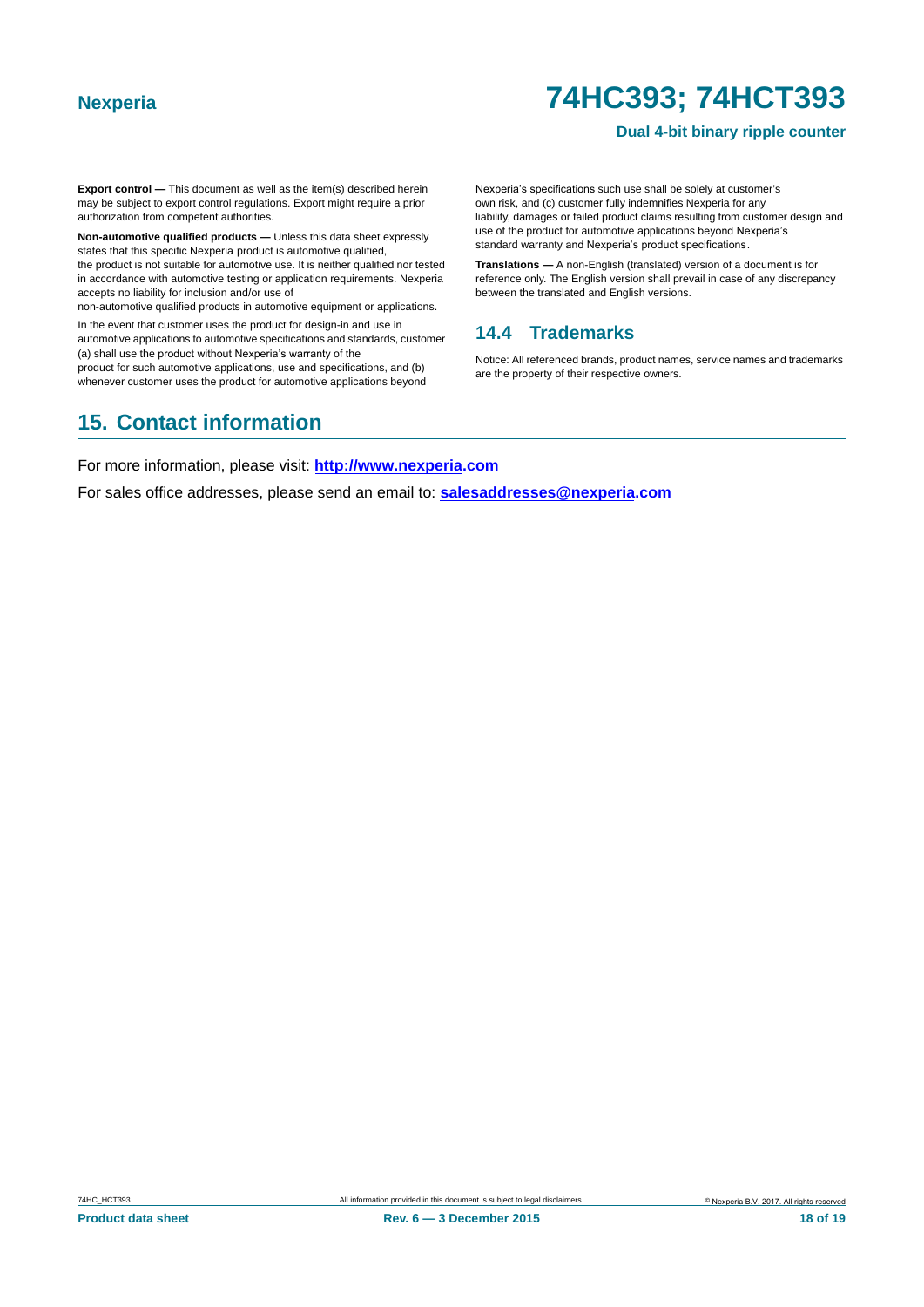#### **Dual 4-bit binary ripple counter**

**Export control —** This document as well as the item(s) described herein may be subject to export control regulations. Export might require a prior authorization from competent authorities.

**Non-automotive qualified products —** Unless this data sheet expressly states that this specific Nexperia product is automotive qualified, the product is not suitable for automotive use. It is neither qualified nor tested in accordance with automotive testing or application requirements. Nexperia accepts no liability for inclusion and/or use of

non-automotive qualified products in automotive equipment or applications.

In the event that customer uses the product for design-in and use in automotive applications to automotive specifications and standards, customer (a) shall use the product without Nexperia's warranty of the

product for such automotive applications, use and specifications, and (b) whenever customer uses the product for automotive applications beyond Nexperia's specifications such use shall be solely at customer's own risk, and (c) customer fully indemnifies Nexperia for any liability, damages or failed product claims resulting from customer design and use of the product for automotive applications beyond Nexperia's standard warranty and Nexperia's product specifications.

**Translations —** A non-English (translated) version of a document is for reference only. The English version shall prevail in case of any discrepancy between the translated and English versions.

#### <span id="page-17-0"></span>**14.4 Trademarks**

Notice: All referenced brands, product names, service names and trademarks are the property of their respective owners.

### <span id="page-17-1"></span>**15. Contact information**

For more information, please visit: **http://www.nexperia.com**

For sales office addresses, please send an email to: **salesaddresses@nexperia.com**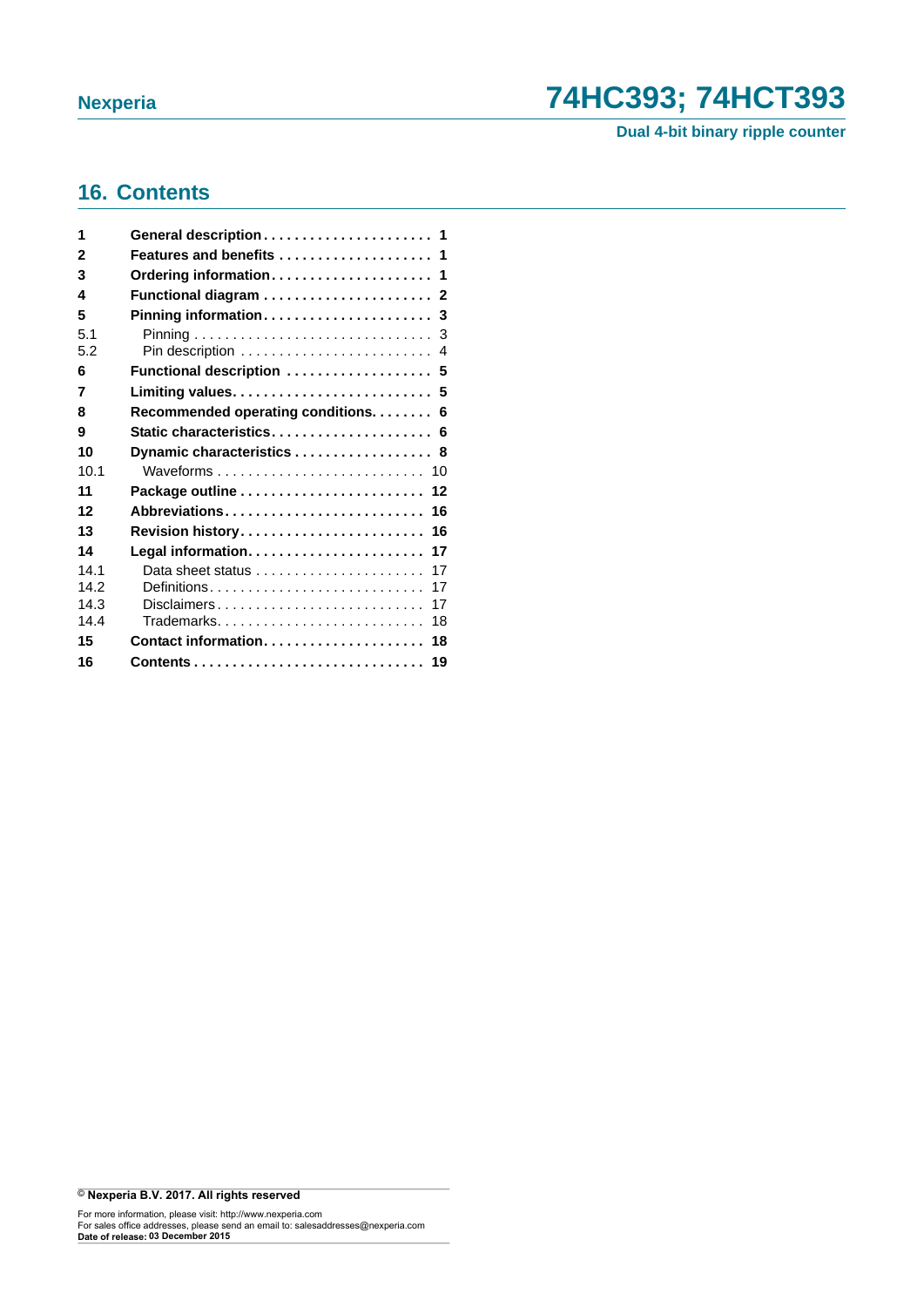**Dual 4-bit binary ripple counter**

### <span id="page-18-0"></span>**16. Contents**

| 1    |                                                                  |
|------|------------------------------------------------------------------|
| 2    | Features and benefits  1                                         |
| 3    |                                                                  |
| 4    |                                                                  |
| 5    |                                                                  |
| 5.1  |                                                                  |
| 5.2  |                                                                  |
| 6    | Functional description  5                                        |
| 7    |                                                                  |
| 8    | Recommended operating conditions. 6                              |
| 9    | Static characteristics 6                                         |
| 10   | Dynamic characteristics 8                                        |
| 10.1 |                                                                  |
| 11   |                                                                  |
| 12   | Abbreviations 16                                                 |
| 13   | Revision history 16                                              |
| 14   |                                                                  |
| 14.1 | Data sheet status $\ldots, \ldots, \ldots, \ldots, \ldots$<br>17 |
| 14.2 | 17                                                               |
| 14.3 | Disclaimers<br>17                                                |
| 144  | Trademarks<br>18                                                 |
| 15   | Contact information 18                                           |
| 16   |                                                                  |